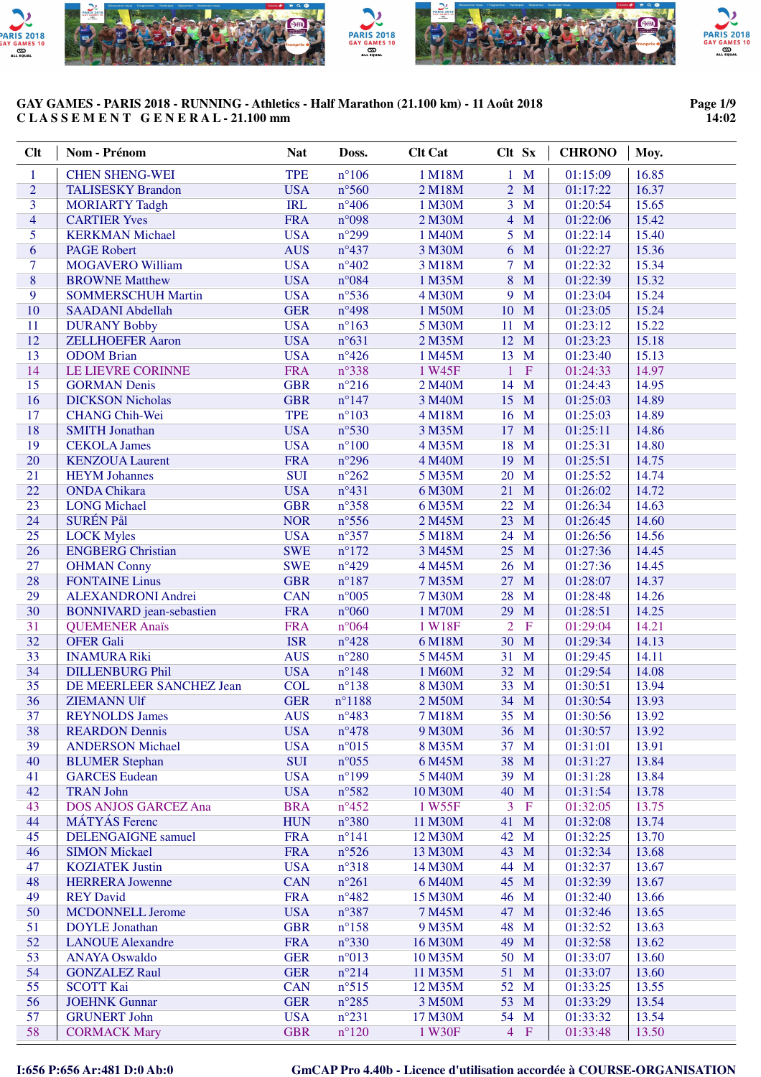

# **Page 1/9 14:02**

| <b>Clt</b>     | Nom - Prénom                                             | <b>Nat</b>               | Doss.                            | <b>Clt Cat</b>   | Clt Sx                         | <b>CHRONO</b>        | Moy.           |
|----------------|----------------------------------------------------------|--------------------------|----------------------------------|------------------|--------------------------------|----------------------|----------------|
| 1              | <b>CHEN SHENG-WEI</b>                                    | <b>TPE</b>               | $n^{\circ}106$                   | 1 M18M           | $1 \mathbf{M}$                 | 01:15:09             | 16.85          |
| $\overline{2}$ | <b>TALISESKY Brandon</b>                                 | <b>USA</b>               | $n^{\circ}$ 560                  | 2 M18M           | M<br>$\overline{2}$            | 01:17:22             | 16.37          |
| 3              | <b>MORIARTY Tadgh</b>                                    | <b>IRL</b>               | $n^{\circ}406$                   | 1 M30M           | $\overline{3}$<br>M            | 01:20:54             | 15.65          |
| $\overline{4}$ | <b>CARTIER Yves</b>                                      | <b>FRA</b>               | $n^{\circ}098$                   | 2 M30M           | $\overline{4}$<br>M            | 01:22:06             | 15.42          |
| 5              | <b>KERKMAN Michael</b>                                   | <b>USA</b>               | $n^{\circ}299$                   | 1 M40M           | 5 <sup>5</sup><br>$\mathbf{M}$ | 01:22:14             | 15.40          |
| 6              | <b>PAGE Robert</b>                                       | <b>AUS</b>               | $n^{\circ}437$                   | 3 M30M           | 6 M                            | 01:22:27             | 15.36          |
| 7              | <b>MOGAVERO William</b>                                  | <b>USA</b>               | $n^{\circ}402$                   | 3 M18M           | $\mathbf{M}$<br>7 <sup>1</sup> | 01:22:32             | 15.34          |
| $\overline{8}$ | <b>BROWNE Matthew</b>                                    | <b>USA</b>               | $n^{\circ}084$                   | 1 M35M           | 8<br>M                         | 01:22:39             | 15.32          |
| 9              | <b>SOMMERSCHUH Martin</b>                                | <b>USA</b>               | $n^{\circ}$ 536                  | 4 M30M           | M<br>9                         | 01:23:04             | 15.24          |
| 10             | <b>SAADANI Abdellah</b>                                  | <b>GER</b>               | $n^{\circ}498$                   | 1 M50M           | 10<br>M                        | 01:23:05             | 15.24          |
| 11             | <b>DURANY Bobby</b>                                      | <b>USA</b>               | $n^{\circ}163$                   | 5 M30M           | M<br>11                        | 01:23:12             | 15.22          |
| 12             | <b>ZELLHOEFER Aaron</b>                                  | <b>USA</b>               | $n^{\circ}631$                   | 2 M35M           | 12 M                           | 01:23:23             | 15.18          |
| 13             | <b>ODOM</b> Brian                                        | <b>USA</b>               | $n^{\circ}426$                   | 1 M45M           | 13<br>M                        | 01:23:40             | 15.13          |
| 14             | LE LIEVRE CORINNE                                        | <b>FRA</b>               | $n^{\circ}338$                   | 1 W45F           | $\mathbf F$<br>$\mathbf{1}$    | 01:24:33             | 14.97          |
| 15             | <b>GORMAN Denis</b>                                      | <b>GBR</b>               | $n^{\circ}216$                   | 2 M40M           | 14<br>M                        | 01:24:43             | 14.95          |
| 16             | <b>DICKSON Nicholas</b>                                  | <b>GBR</b>               | $n^{\circ}147$                   | 3 M40M           | 15<br>M                        | 01:25:03             | 14.89          |
| 17             | <b>CHANG Chih-Wei</b>                                    | <b>TPE</b>               | $n^{\circ}103$                   | 4 M18M           | M<br>16                        | 01:25:03             | 14.89          |
| 18             | <b>SMITH Jonathan</b>                                    | <b>USA</b>               | $n^{\circ}530$                   | 3 M35M           | M<br>17                        | 01:25:11             | 14.86          |
| 19             | <b>CEKOLA James</b>                                      | <b>USA</b>               | $n^{\circ}100$                   | 4 M35M           | 18<br>M                        | 01:25:31             | 14.80          |
| 20             | <b>KENZOUA Laurent</b>                                   | <b>FRA</b>               | $n^{\circ}296$                   | 4 M40M           | M<br>19                        | 01:25:51             | 14.75          |
| 21             | <b>HEYM</b> Johannes                                     | <b>SUI</b>               | $n^{\circ}262$                   | 5 M35M           | 20<br>M                        | 01:25:52             | 14.74          |
| 22             | <b>ONDA Chikara</b>                                      | <b>USA</b>               | $n^{\circ}431$                   | 6 M30M           | M<br>21                        | 01:26:02             | 14.72          |
| 23             | <b>LONG</b> Michael                                      | <b>GBR</b>               | $n^{\circ}358$                   | 6 M35M           | M<br>22                        | 01:26:34             | 14.63          |
| 24             | <b>SURÉN Pål</b>                                         | <b>NOR</b>               | $n^{\circ}$ 556                  | 2 M45M           | 23<br>M                        | 01:26:45             | 14.60          |
| 25             | <b>LOCK Myles</b>                                        | <b>USA</b>               | $n^{\circ}357$                   | 5 M18M           | 24<br>M                        | 01:26:56             | 14.56          |
| 26             | <b>ENGBERG Christian</b>                                 | <b>SWE</b>               | $n^{\circ}172$                   | 3 M45M           | 25<br>M                        | 01:27:36             | 14.45          |
| 27             | <b>OHMAN Conny</b>                                       | <b>SWE</b>               | $n^{\circ}429$                   | 4 M45M           | M<br>26<br>M                   | 01:27:36             | 14.45          |
| 28<br>29       | <b>FONTAINE Linus</b>                                    | <b>GBR</b>               | $n^{\circ}187$                   | 7 M35M           | 27<br>28<br>M                  | 01:28:07             | 14.37<br>14.26 |
| 30             | <b>ALEXANDRONI Andrei</b>                                | <b>CAN</b><br><b>FRA</b> | $n^{\circ}005$<br>$n^{\circ}060$ | 7 M30M<br>1 M70M | 29<br>M                        | 01:28:48<br>01:28:51 | 14.25          |
| 31             | <b>BONNIVARD</b> jean-sebastien<br><b>QUEMENER Anaïs</b> | <b>FRA</b>               | $n^{\circ}064$                   | 1 W18F           | $\overline{2}$<br>$\mathbf F$  | 01:29:04             | 14.21          |
| 32             | <b>OFER Gali</b>                                         | <b>ISR</b>               | $n^{\circ}428$                   | 6 M18M           | 30 M                           | 01:29:34             | 14.13          |
| 33             | <b>INAMURA Riki</b>                                      | <b>AUS</b>               | $n^{\circ}280$                   | 5 M45M           | 31<br>$\mathbf{M}$             | 01:29:45             | 14.11          |
| 34             | <b>DILLENBURG Phil</b>                                   | <b>USA</b>               | $n^{\circ}148$                   | 1 M60M           | 32 M                           | 01:29:54             | 14.08          |
| 35             | DE MEERLEER SANCHEZ Jean                                 | <b>COL</b>               | $n^{\circ}138$                   | 8 M30M           | 33 M                           | 01:30:51             | 13.94          |
| 36             | <b>ZIEMANN Ulf</b>                                       | <b>GER</b>               | $n^{\circ}$ 1188                 | 2 M50M           | 34 M                           | 01:30:54             | 13.93          |
| 37             | <b>REYNOLDS James</b>                                    | <b>AUS</b>               | $n^{\circ}483$                   | 7 M18M           | 35 M                           | 01:30:56             | 13.92          |
| 38             | <b>REARDON Dennis</b>                                    | <b>USA</b>               | $n^{\circ}478$                   | 9 M30M           | 36 M                           | 01:30:57             | 13.92          |
| 39             | <b>ANDERSON Michael</b>                                  | <b>USA</b>               | $n^{\circ}015$                   | 8 M35M           | 37 M                           | 01:31:01             | 13.91          |
| 40             | <b>BLUMER Stephan</b>                                    | <b>SUI</b>               | $n^{\circ}055$                   | 6 M45M           | 38<br>M                        | 01:31:27             | 13.84          |
| 41             | <b>GARCES</b> Eudean                                     | <b>USA</b>               | $n^{\circ}199$                   | 5 M40M           | 39<br>M                        | 01:31:28             | 13.84          |
| 42             | <b>TRAN John</b>                                         | <b>USA</b>               | $n^{\circ}582$                   | 10 M30M          | 40<br>M                        | 01:31:54             | 13.78          |
| 43             | <b>DOS ANJOS GARCEZ Ana</b>                              | <b>BRA</b>               | $n^{\circ}452$                   | 1 W55F           | 3<br>$\mathbf F$               | 01:32:05             | 13.75          |
| 44             | <b>MÁTYÁS</b> Ferenc                                     | <b>HUN</b>               | $n^{\circ}380$                   | 11 M30M          | 41<br>M                        | 01:32:08             | 13.74          |
| 45             | <b>DELENGAIGNE</b> samuel                                | <b>FRA</b>               | $n^{\circ}141$                   | 12 M30M          | 42<br>M                        | 01:32:25             | 13.70          |
| 46             | <b>SIMON Mickael</b>                                     | <b>FRA</b>               | $n^{\circ}526$                   | 13 M30M          | 43 M                           | 01:32:34             | 13.68          |
| 47             | <b>KOZIATEK Justin</b>                                   | <b>USA</b>               | $n^{\circ}318$                   | 14 M30M          | 44<br>M                        | 01:32:37             | 13.67          |
| 48             | <b>HERRERA Jowenne</b>                                   | <b>CAN</b>               | $n^{\circ}261$                   | 6 M40M           | 45<br>M                        | 01:32:39             | 13.67          |
| 49             | <b>REY David</b>                                         | <b>FRA</b>               | $n^{\circ}482$                   | 15 M30M          | 46<br>M                        | 01:32:40             | 13.66          |
| 50             | <b>MCDONNELL Jerome</b>                                  | <b>USA</b>               | n°387                            | 7 M45M           | 47<br>M                        | 01:32:46             | 13.65          |
| 51             | <b>DOYLE</b> Jonathan                                    | <b>GBR</b>               | $n^{\circ}158$                   | 9 M35M           | 48<br>M                        | 01:32:52             | 13.63          |
| 52             | <b>LANOUE Alexandre</b>                                  | <b>FRA</b>               | $n^{\circ}330$                   | 16 M30M          | 49<br>M                        | 01:32:58             | 13.62          |
| 53             | <b>ANAYA Oswaldo</b>                                     | <b>GER</b>               | $n^{\circ}013$                   | 10 M35M          | 50 M                           | 01:33:07             | 13.60          |
| 54             | <b>GONZALEZ Raul</b>                                     | <b>GER</b>               | $n^{\circ}214$                   | 11 M35M          | 51 M                           | 01:33:07             | 13.60          |
| 55             | <b>SCOTT Kai</b>                                         | <b>CAN</b>               | $n^{\circ}515$                   | 12 M35M          | 52 M                           | 01:33:25             | 13.55          |
| 56             | <b>JOEHNK Gunnar</b>                                     | <b>GER</b>               | $n^{\circ}285$                   | 3 M50M           | 53 M                           | 01:33:29             | 13.54          |
| 57             | <b>GRUNERT John</b>                                      | <b>USA</b>               | $n^{\circ}231$                   | 17 M30M          | 54 M                           | 01:33:32             | 13.54          |
| 58             | <b>CORMACK Mary</b>                                      | <b>GBR</b>               | $n^{\circ}120$                   | 1 W30F           | $4$ F                          | 01:33:48             | 13.50          |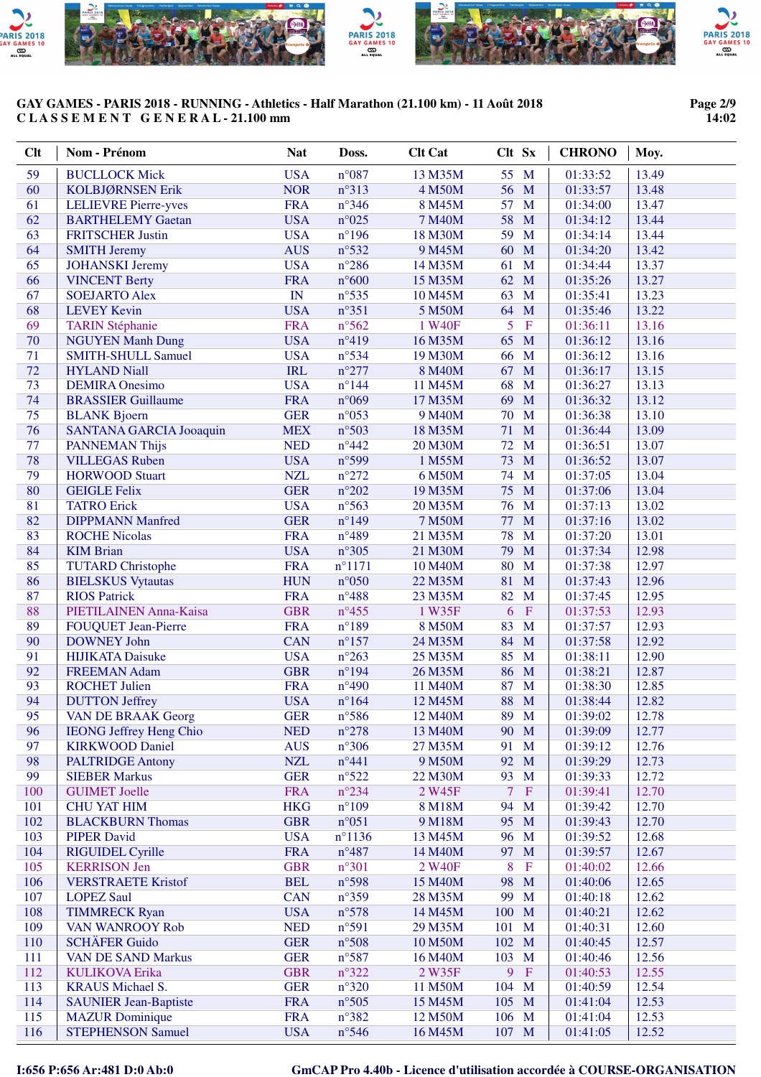

#### **Page 2/9 14:02**

| <b>Clt</b> | Nom - Prénom                                 | <b>Nat</b>               | Doss.                             | <b>Clt Cat</b>     | Clt Sx                | <b>CHRONO</b>        | Moy.           |
|------------|----------------------------------------------|--------------------------|-----------------------------------|--------------------|-----------------------|----------------------|----------------|
| 59         | <b>BUCLLOCK Mick</b>                         | <b>USA</b>               | $n^{\circ}087$                    | 13 M35M            | 55 M                  | 01:33:52             | 13.49          |
| 60         | KOLBJØRNSEN Erik                             | <b>NOR</b>               | $n^{\circ}313$                    | 4 M50M             | 56<br>M               | 01:33:57             | 13.48          |
| 61         | <b>LELIEVRE Pierre-yves</b>                  | <b>FRA</b>               | $n^{\circ}346$                    | 8 M45M             | 57<br>M               | 01:34:00             | 13.47          |
| 62         | <b>BARTHELEMY Gaetan</b>                     | <b>USA</b>               | $n^{\circ}025$                    | 7 M40M             | 58<br>M               | 01:34:12             | 13.44          |
| 63         | <b>FRITSCHER Justin</b>                      | <b>USA</b>               | $n^{\circ}$ 196                   | 18 M30M            | 59<br>M               | 01:34:14             | 13.44          |
| 64         | <b>SMITH Jeremy</b>                          | <b>AUS</b>               | $n^{\circ}532$                    | 9 M45M             | 60 M                  | 01:34:20             | 13.42          |
| 65         | <b>JOHANSKI</b> Jeremy                       | <b>USA</b>               | $n^{\circ}286$                    | 14 M35M            | $\mathbf{M}$<br>61    | 01:34:44             | 13.37          |
| 66         | <b>VINCENT Berty</b>                         | <b>FRA</b>               | $n^{\circ}600$                    | 15 M35M            | 62 M                  | 01:35:26             | 13.27          |
| 67         | <b>SOEJARTO Alex</b>                         | $\mathbb{I}\mathbb{N}$   | $n^{\circ}$ 535                   | 10 M45M            | 63<br>$\mathbf{M}$    | 01:35:41             | 13.23          |
| 68         | <b>LEVEY Kevin</b>                           | <b>USA</b>               | $n^{\circ}351$                    | 5 M50M             | 64 M                  | 01:35:46             | 13.22          |
| 69         | <b>TARIN Stéphanie</b>                       | <b>FRA</b>               | $n^{\circ}562$                    | 1 W40F             | 5<br>$\mathbf F$      | 01:36:11             | 13.16          |
| 70         | <b>NGUYEN Manh Dung</b>                      | <b>USA</b>               | $n^{\circ}419$                    | 16 M35M            | 65<br>M               | 01:36:12             | 13.16          |
| 71         | <b>SMITH-SHULL Samuel</b>                    | <b>USA</b>               | $n^{\circ}534$                    | 19 M30M            | 66<br>M               | 01:36:12             | 13.16          |
| 72         | <b>HYLAND Niall</b>                          | <b>IRL</b>               | $n^{\circ}277$                    | 8 M40M             | 67<br>M               | 01:36:17             | 13.15          |
| 73         | <b>DEMIRA</b> Onesimo                        | <b>USA</b>               | $n^{\circ}$ 144                   | 11 M45M            | 68<br>M               | 01:36:27             | 13.13          |
| 74         | <b>BRASSIER Guillaume</b>                    | <b>FRA</b>               | n°069                             | 17 M35M            | 69<br>M               | 01:36:32             | 13.12          |
| 75         | <b>BLANK Bjoern</b>                          | <b>GER</b>               | $n^{\circ}053$                    | 9 M40M             | 70<br>M               | 01:36:38             | 13.10          |
| 76         | <b>SANTANA GARCIA Jooaquin</b>               | <b>MEX</b>               | $n^{\circ}503$                    | 18 M35M            | M<br>71               | 01:36:44             | 13.09          |
| 77         | <b>PANNEMAN Thijs</b>                        | <b>NED</b>               | $n^{\circ}442$                    | 20 M30M            | 72<br>M               | 01:36:51             | 13.07          |
| 78         | <b>VILLEGAS Ruben</b>                        | <b>USA</b>               | n°599                             | 1 M55M             | 73<br>M               | 01:36:52             | 13.07          |
| 79         | <b>HORWOOD Stuart</b>                        | <b>NZL</b>               | $n^{\circ}272$                    | 6 M50M             | M<br>74               | 01:37:05             | 13.04          |
| 80         | <b>GEIGLE Felix</b>                          | <b>GER</b>               | $n^{\circ}202$                    | 19 M35M            | 75<br>M               | 01:37:06             | 13.04          |
| 81         | <b>TATRO Erick</b>                           | <b>USA</b>               | $n^{\circ}$ 563                   | 20 M35M            | M<br>76               | 01:37:13             | 13.02          |
| 82         | <b>DIPPMANN Manfred</b>                      | <b>GER</b>               | $n^{\circ}149$                    | 7 M50M             | M<br>77               | 01:37:16             | 13.02          |
| 83         | <b>ROCHE Nicolas</b>                         | <b>FRA</b>               | $n^{\circ}489$                    | 21 M35M            | 78<br>M               | 01:37:20             | 13.01          |
| 84<br>85   | <b>KIM Brian</b><br><b>TUTARD Christophe</b> | <b>USA</b><br><b>FRA</b> | $n^{\circ}305$<br>$n^{\circ}1171$ | 21 M30M<br>10 M40M | 79<br>M<br>80<br>M    | 01:37:34<br>01:37:38 | 12.98<br>12.97 |
| 86         | <b>BIELSKUS Vytautas</b>                     | <b>HUN</b>               | $n^{\circ}050$                    | 22 M35M            | M<br>81               | 01:37:43             | 12.96          |
| 87         | <b>RIOS Patrick</b>                          | <b>FRA</b>               | $n^{\circ}488$                    | 23 M35M            | 82<br>M               | 01:37:45             | 12.95          |
| 88         | PIETILAINEN Anna-Kaisa                       | <b>GBR</b>               | $n^{\circ}455$                    | 1 W35F             | 6<br>$\mathbf F$      | 01:37:53             | 12.93          |
| 89         | <b>FOUQUET Jean-Pierre</b>                   | <b>FRA</b>               | $n^{\circ}189$                    | 8 M50M             | 83<br>M               | 01:37:57             | 12.93          |
| 90         | <b>DOWNEY John</b>                           | <b>CAN</b>               | $n^{\circ}157$                    | 24 M35M            | 84 M                  | 01:37:58             | 12.92          |
| 91         | <b>HIJIKATA Daisuke</b>                      | <b>USA</b>               | $n^{\circ}263$                    | 25 M35M            | 85<br>M               | 01:38:11             | 12.90          |
| 92         | <b>FREEMAN Adam</b>                          | <b>GBR</b>               | $n^{\circ}194$                    | 26 M35M            | 86 M                  | 01:38:21             | 12.87          |
| 93         | <b>ROCHET Julien</b>                         | <b>FRA</b>               | $n^{\circ}490$                    | 11 M40M            | 87<br>M               | 01:38:30             | 12.85          |
| 94         | <b>DUTTON Jeffrey</b>                        | <b>USA</b>               | $n^{\circ}164$                    | 12 M45M            | 88 M                  | 01:38:44             | 12.82          |
| 95         | <b>VAN DE BRAAK Georg</b>                    | <b>GER</b>               | $n^{\circ}586$                    | 12 M40M            | 89 M                  | 01:39:02             | 12.78          |
| 96         | <b>IEONG Jeffrey Heng Chio</b>               | <b>NED</b>               | $n^{\circ}278$                    | 13 M40M            | 90 M                  | 01:39:09             | 12.77          |
| 97         | <b>KIRKWOOD Daniel</b>                       | <b>AUS</b>               | $n^{\circ}306$                    | 27 M35M            | 91<br>M               | 01:39:12             | 12.76          |
| 98         | <b>PALTRIDGE Antony</b>                      | <b>NZL</b>               | $n^{\circ}441$                    | 9 M50M             | 92<br>M               | 01:39:29             | 12.73          |
| 99         | <b>SIEBER Markus</b>                         | <b>GER</b>               | $n^{\circ}522$                    | 22 M30M            | 93<br>M               | 01:39:33             | 12.72          |
| 100        | <b>GUIMET Joelle</b>                         | <b>FRA</b>               | $n^{\circ}234$                    | 2 W45F             | $\tau$<br>$\mathbf F$ | 01:39:41             | 12.70          |
| 101        | <b>CHU YAT HIM</b>                           | <b>HKG</b>               | $n^{\circ}109$                    | 8 M18M             | 94<br>M               | 01:39:42             | 12.70          |
| 102        | <b>BLACKBURN Thomas</b>                      | <b>GBR</b>               | $n^{\circ}051$                    | 9 M18M             | 95<br>M               | 01:39:43             | 12.70          |
| 103        | <b>PIPER David</b>                           | <b>USA</b>               | $n^{\circ}$ 1136                  | 13 M45M            | 96<br>M               | 01:39:52             | 12.68          |
| 104        | <b>RIGUIDEL Cyrille</b>                      | <b>FRA</b>               | $n^{\circ}487$                    | 14 M40M            | M<br>97               | 01:39:57             | 12.67          |
| 105        | <b>KERRISON Jen</b>                          | <b>GBR</b>               | $n^{\circ}301$                    | 2 W40F             | 8<br>$\mathbf F$      | 01:40:02             | 12.66          |
| 106        | <b>VERSTRAETE Kristof</b>                    | <b>BEL</b>               | n°598                             | 15 M40M            | M<br>98               | 01:40:06             | 12.65          |
| 107        | <b>LOPEZ Saul</b>                            | <b>CAN</b>               | $n^{\circ}359$                    | 28 M35M            | 99<br>M               | 01:40:18             | 12.62          |
| 108        | <b>TIMMRECK Ryan</b>                         | <b>USA</b>               | n°578                             | 14 M45M            | 100<br>M              | 01:40:21             | 12.62          |
| 109        | VAN WANROOY Rob                              | <b>NED</b>               | n°591                             | 29 M35M            | 101<br>$\mathbf M$    | 01:40:31             | 12.60          |
| 110        | <b>SCHÄFER Guido</b>                         | <b>GER</b>               | n°508                             | 10 M50M            | 102<br>$\mathbf{M}$   | 01:40:45             | 12.57          |
| 111        | <b>VAN DE SAND Markus</b>                    | <b>GER</b>               | $n^{\circ}587$                    | 16 M40M            | 103<br>$\mathbf M$    | 01:40:46             | 12.56          |
| 112        | <b>KULIKOVA Erika</b>                        | <b>GBR</b>               | $n^{\circ}322$                    | 2 W35F             | 9<br>$\mathbf F$      | 01:40:53             | 12.55          |
| 113        | <b>KRAUS</b> Michael S.                      | <b>GER</b>               | $n^{\circ}320$                    | 11 M50M            | 104 M                 | 01:40:59             | 12.54          |
| 114        | <b>SAUNIER Jean-Baptiste</b>                 | <b>FRA</b>               | $n^{\circ}505$                    | 15 M45M            | 105 M                 | 01:41:04             | 12.53          |
| 115        | <b>MAZUR</b> Dominique                       | <b>FRA</b>               | $n^{\circ}382$                    | 12 M50M            | 106 M                 | 01:41:04             | 12.53          |
| 116        | <b>STEPHENSON Samuel</b>                     | <b>USA</b>               | $n^{\circ}$ 546                   | 16 M45M            | 107 M                 | 01:41:05             | 12.52          |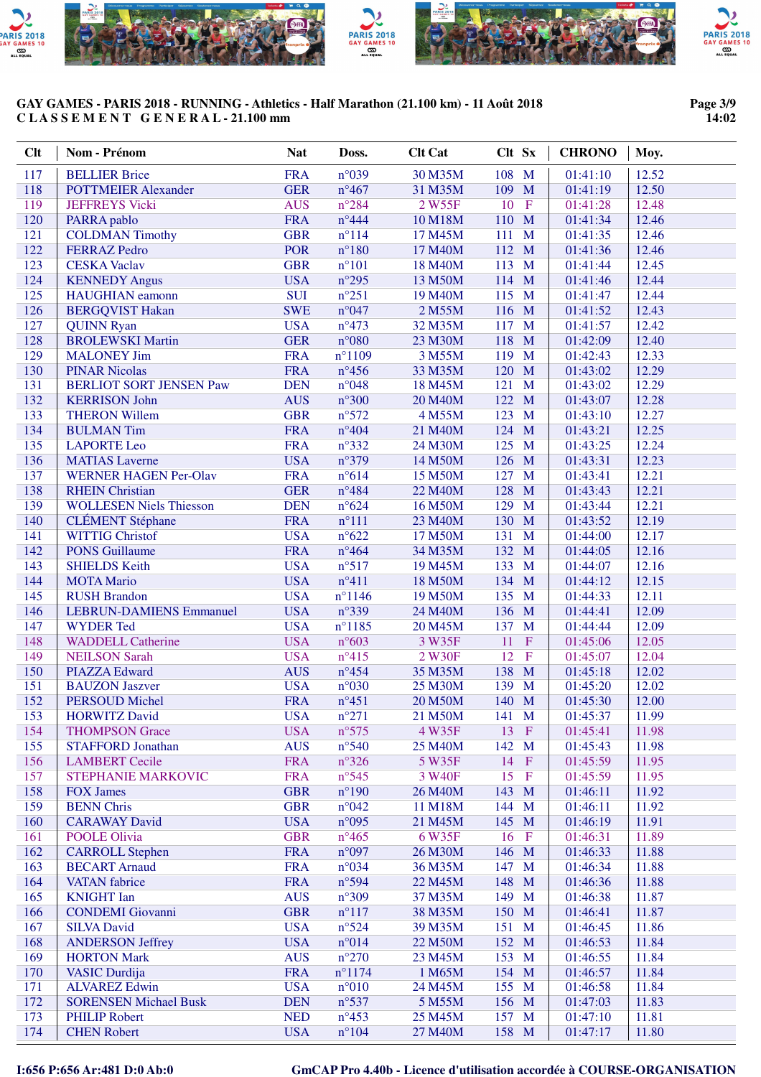

# **Page 3/9 14:02**

| Clt        | Nom - Prénom                                          | <b>Nat</b>               | Doss.                            | <b>Clt Cat</b>     | Clt Sx                                    | <b>CHRONO</b>        | Moy.           |
|------------|-------------------------------------------------------|--------------------------|----------------------------------|--------------------|-------------------------------------------|----------------------|----------------|
| 117        | <b>BELLIER Brice</b>                                  | <b>FRA</b>               | n°039                            | 30 M35M            | 108 M                                     | 01:41:10             | 12.52          |
| 118        | <b>POTTMEIER Alexander</b>                            | <b>GER</b>               | $n^{\circ}467$                   | 31 M35M            | 109 M                                     | 01:41:19             | 12.50          |
| 119        | <b>JEFFREYS Vicki</b>                                 | <b>AUS</b>               | $n^{\circ}284$                   | 2 W55F             | 10<br>$\mathbf{F}$                        | 01:41:28             | 12.48          |
| 120        | PARRA pablo                                           | <b>FRA</b>               | $n^{\circ}444$                   | 10 M18M            | 110 M                                     | 01:41:34             | 12.46          |
| 121        | <b>COLDMAN Timothy</b>                                | <b>GBR</b>               | $n^{\circ}114$                   | 17 M45M            | $\mathbf{M}$<br>111                       | 01:41:35             | 12.46          |
| 122        | <b>FERRAZ Pedro</b>                                   | <b>POR</b>               | $n^{\circ}180$                   | 17 M40M            | 112 M                                     | 01:41:36             | 12.46          |
| 123        | <b>CESKA Vaclav</b>                                   | <b>GBR</b>               | $n^{\circ}101$                   | 18 M40M            | 113 M                                     | 01:41:44             | 12.45          |
| 124        | <b>KENNEDY Angus</b>                                  | <b>USA</b>               | $n^{\circ}295$                   | 13 M50M            | 114 M                                     | 01:41:46             | 12.44<br>12.44 |
| 125<br>126 | <b>HAUGHIAN</b> eamonn<br><b>BERGQVIST Hakan</b>      | <b>SUI</b><br><b>SWE</b> | $n^{\circ}251$<br>n°047          | 19 M40M<br>2 M55M  | 115 M<br>116 M                            | 01:41:47<br>01:41:52 | 12.43          |
| 127        | <b>QUINN Ryan</b>                                     | <b>USA</b>               | $n^{\circ}473$                   | 32 M35M            | 117 M                                     | 01:41:57             | 12.42          |
| 128        | <b>BROLEWSKI Martin</b>                               | <b>GER</b>               | $n^{\circ}080$                   | 23 M30M            | 118<br>M                                  | 01:42:09             | 12.40          |
| 129        | <b>MALONEY Jim</b>                                    | <b>FRA</b>               | $n^{\circ}1109$                  | 3 M55M             | 119<br>M                                  | 01:42:43             | 12.33          |
| 130        | <b>PINAR Nicolas</b>                                  | <b>FRA</b>               | $n^{\circ}456$                   | 33 M35M            | 120<br>M                                  | 01:43:02             | 12.29          |
| 131        | <b>BERLIOT SORT JENSEN Paw</b>                        | <b>DEN</b>               | $n^{\circ}048$                   | 18 M45M            | 121<br>M                                  | 01:43:02             | 12.29          |
| 132        | <b>KERRISON John</b>                                  | <b>AUS</b>               | $n^{\circ}300$                   | 20 M40M            | 122 M                                     | 01:43:07             | 12.28          |
| 133        | <b>THERON Willem</b>                                  | <b>GBR</b>               | $n^{\circ}572$                   | 4 M55M             | 123<br>$\mathbf{M}$                       | 01:43:10             | 12.27          |
| 134        | <b>BULMAN Tim</b>                                     | <b>FRA</b>               | $n^{\circ}404$                   | 21 M40M            | 124 M                                     | 01:43:21             | 12.25          |
| 135        | <b>LAPORTE Leo</b>                                    | <b>FRA</b>               | $n^{\circ}332$                   | 24 M30M            | 125<br>$\mathbf{M}$                       | 01:43:25             | 12.24          |
| 136<br>137 | <b>MATIAS</b> Laverne<br><b>WERNER HAGEN Per-Olav</b> | <b>USA</b>               | $n^{\circ}379$                   | 14 M50M            | 126 M                                     | 01:43:31             | 12.23<br>12.21 |
| 138        | <b>RHEIN Christian</b>                                | <b>FRA</b><br><b>GER</b> | $n^{\circ}614$<br>$n^{\circ}484$ | 15 M50M<br>22 M40M | 127 M<br>128<br>M                         | 01:43:41<br>01:43:43 | 12.21          |
| 139        | <b>WOLLESEN Niels Thiesson</b>                        | <b>DEN</b>               | $n^{\circ}624$                   | 16 M50M            | 129<br>M                                  | 01:43:44             | 12.21          |
| 140        | <b>CLÉMENT</b> Stéphane                               | <b>FRA</b>               | $n^{\circ}111$                   | 23 M40M            | 130 M                                     | 01:43:52             | 12.19          |
| 141        | <b>WITTIG Christof</b>                                | <b>USA</b>               | $n^{\circ}622$                   | 17 M50M            | 131 M                                     | 01:44:00             | 12.17          |
| 142        | <b>PONS Guillaume</b>                                 | <b>FRA</b>               | $n^{\circ}464$                   | 34 M35M            | 132 M                                     | 01:44:05             | 12.16          |
| 143        | <b>SHIELDS Keith</b>                                  | <b>USA</b>               | $n^{\circ}517$                   | 19 M45M            | 133 M                                     | 01:44:07             | 12.16          |
| 144        | <b>MOTA Mario</b>                                     | <b>USA</b>               | $n^{\circ}411$                   | 18 M50M            | 134 M                                     | 01:44:12             | 12.15          |
| 145        | <b>RUSH Brandon</b>                                   | <b>USA</b>               | $n^{\circ}$ 1146                 | 19 M50M            | 135 M                                     | 01:44:33             | 12.11          |
| 146        | <b>LEBRUN-DAMIENS Emmanuel</b>                        | <b>USA</b>               | $n^{\circ}339$                   | 24 M40M            | 136 M                                     | 01:44:41             | 12.09          |
| 147        | <b>WYDER Ted</b>                                      | <b>USA</b>               | $n^{\circ}1185$                  | 20 M45M            | 137 M                                     | 01:44:44             | 12.09          |
| 148        | <b>WADDELL Catherine</b>                              | <b>USA</b>               | $n^{\circ}603$                   | 3 W35F             | 11<br>$\mathbf{F}$                        | 01:45:06             | 12.05<br>12.04 |
| 149<br>150 | <b>NEILSON Sarah</b><br><b>PIAZZA Edward</b>          | <b>USA</b><br><b>AUS</b> | $n^{\circ}415$<br>$n^{\circ}454$ | 2 W30F<br>35 M35M  | 12<br>$\mathbf{F}$<br>138<br>$\mathbf{M}$ | 01:45:07<br>01:45:18 | 12.02          |
| 151        | <b>BAUZON Jaszver</b>                                 | <b>USA</b>               | $n^{\circ}030$                   | 25 M30M            | 139<br>$\mathbf{M}$                       | 01:45:20             | 12.02          |
| 152        | <b>PERSOUD Michel</b>                                 | <b>FRA</b>               | $n^{\circ}451$                   | 20 M50M            | 140 M                                     | 01:45:30             | 12.00          |
| 153        | <b>HORWITZ David</b>                                  | <b>USA</b>               | $n^{\circ}271$                   | 21 M50M            | 141 M                                     | 01:45:37             | 11.99          |
| 154        | <b>THOMPSON Grace</b>                                 | <b>USA</b>               | $n^{\circ}575$                   | 4 W35F             | 13 F                                      | 01:45:41             | 11.98          |
| 155        | <b>STAFFORD Jonathan</b>                              | <b>AUS</b>               | $n^{\circ}540$                   | 25 M40M            | 142 M                                     | 01:45:43             | 11.98          |
| 156        | <b>LAMBERT</b> Cecile                                 | <b>FRA</b>               | $n^{\circ}326$                   | 5 W35F             | 14<br>$\mathbf{F}$                        | 01:45:59             | 11.95          |
| 157        | STEPHANIE MARKOVIC                                    | <b>FRA</b>               | $n^{\circ}545$                   | 3 W40F             | 15<br>$\mathbf F$                         | 01:45:59             | 11.95          |
| 158        | <b>FOX James</b>                                      | <b>GBR</b>               | $n^{\circ}190$                   | 26 M40M            | 143 M                                     | 01:46:11             | 11.92          |
| 159        | <b>BENN Chris</b>                                     | <b>GBR</b>               | $n^{\circ}042$                   | 11 M18M            | 144 M                                     | 01:46:11             | 11.92          |
| 160<br>161 | <b>CARAWAY David</b><br>POOLE Olivia                  | <b>USA</b><br><b>GBR</b> | $n^{\circ}095$<br>$n^{\circ}465$ | 21 M45M<br>6 W35F  | 145 M<br>16<br>$\mathbf{F}$               | 01:46:19<br>01:46:31 | 11.91<br>11.89 |
| 162        | <b>CARROLL Stephen</b>                                | <b>FRA</b>               | n°097                            | 26 M30M            | 146 M                                     | 01:46:33             | 11.88          |
| 163        | <b>BECART Arnaud</b>                                  | <b>FRA</b>               | $n^{\circ}034$                   | 36 M35M            | 147 M                                     | 01:46:34             | 11.88          |
| 164        | <b>VATAN</b> fabrice                                  | <b>FRA</b>               | $n^{\circ}594$                   | 22 M45M            | 148 M                                     | 01:46:36             | 11.88          |
| 165        | <b>KNIGHT</b> Ian                                     | <b>AUS</b>               | $n^{\circ}309$                   | 37 M35M            | 149 M                                     | 01:46:38             | 11.87          |
| 166        | <b>CONDEMI</b> Giovanni                               | <b>GBR</b>               | $n^{\circ}117$                   | 38 M35M            | 150 M                                     | 01:46:41             | 11.87          |
| 167        | <b>SILVA David</b>                                    | <b>USA</b>               | $n^{\circ}524$                   | 39 M35M            | 151 M                                     | 01:46:45             | 11.86          |
| 168        | <b>ANDERSON Jeffrey</b>                               | <b>USA</b>               | $n^{\circ}014$                   | 22 M50M            | 152 M                                     | 01:46:53             | 11.84          |
| 169        | <b>HORTON Mark</b>                                    | <b>AUS</b>               | $n^{\circ}270$                   | 23 M45M            | 153 M                                     | 01:46:55             | 11.84          |
| 170        | <b>VASIC</b> Durdija                                  | <b>FRA</b>               | $n^{\circ}1174$                  | 1 M65M             | 154 M                                     | 01:46:57             | 11.84          |
| 171        | <b>ALVAREZ Edwin</b>                                  | <b>USA</b>               | $n^{\circ}010$                   | 24 M45M            | 155 M                                     | 01:46:58             | 11.84          |
| 172<br>173 | <b>SORENSEN Michael Busk</b><br><b>PHILIP Robert</b>  | <b>DEN</b><br><b>NED</b> | $n^{\circ}$ 537                  | 5 M55M             | 156 M                                     | 01:47:03             | 11.83          |
| 174        | <b>CHEN Robert</b>                                    | <b>USA</b>               | $n^{\circ}453$<br>$n^{\circ}104$ | 25 M45M<br>27 M40M | 157 M<br>158 M                            | 01:47:10<br>01:47:17 | 11.81<br>11.80 |
|            |                                                       |                          |                                  |                    |                                           |                      |                |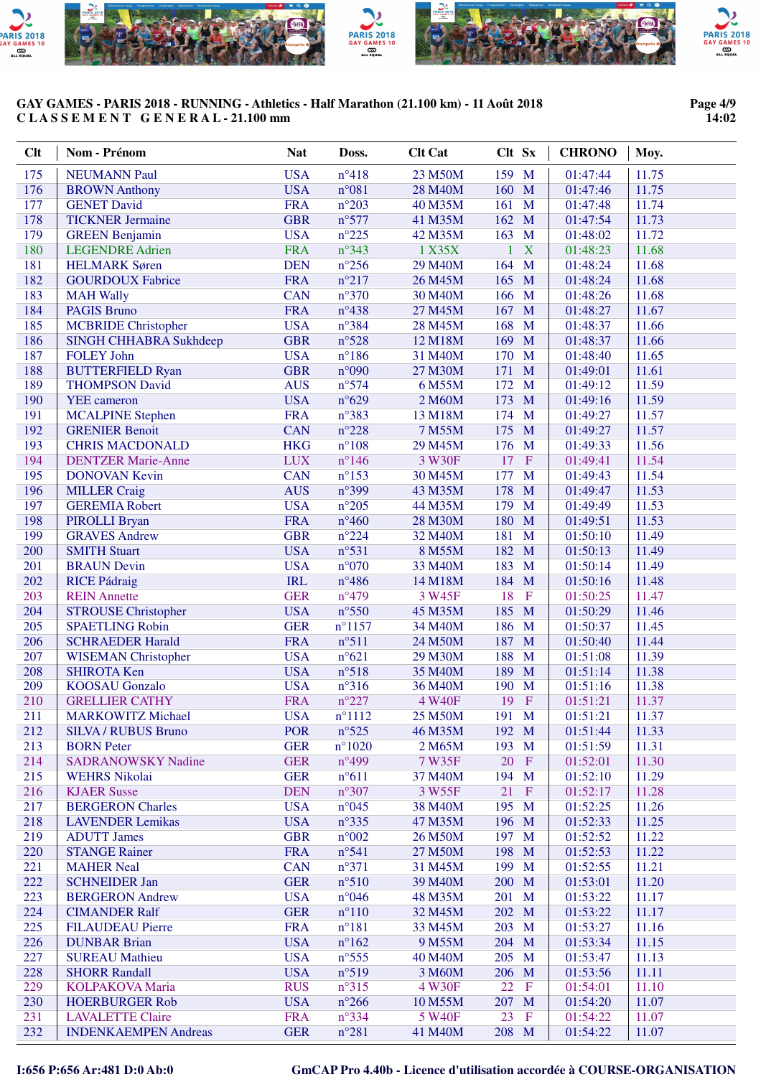

# **Page 4/9 14:02**

| Clt        | Nom - Prénom                                      | <b>Nat</b>               | Doss.                             | <b>Clt Cat</b>     | Clt Sx                     | <b>CHRONO</b>        | Moy.           |
|------------|---------------------------------------------------|--------------------------|-----------------------------------|--------------------|----------------------------|----------------------|----------------|
| 175        | <b>NEUMANN Paul</b>                               | <b>USA</b>               | $n^{\circ}418$                    | 23 M50M            | 159 M                      | 01:47:44             | 11.75          |
| 176        | <b>BROWN</b> Anthony                              | <b>USA</b>               | $n^{\circ}081$                    | 28 M40M            | 160 M                      | 01:47:46             | 11.75          |
| 177        | <b>GENET David</b>                                | <b>FRA</b>               | $n^{\circ}203$                    | 40 M35M            | 161 M                      | 01:47:48             | 11.74          |
| 178        | <b>TICKNER Jermaine</b>                           | <b>GBR</b>               | n°577                             | 41 M35M            | 162 M                      | 01:47:54             | 11.73          |
| 179        | <b>GREEN Benjamin</b>                             | <b>USA</b>               | $n^{\circ}225$                    | 42 M35M            | 163 M                      | 01:48:02             | 11.72          |
| 180        | <b>LEGENDRE Adrien</b>                            | <b>FRA</b>               | $n^{\circ}343$                    | 1 X35X             | X<br>$\mathbf{1}$          | 01:48:23             | 11.68          |
| 181        | <b>HELMARK</b> Søren                              | <b>DEN</b>               | $n^{\circ}256$                    | 29 M40M            | 164<br>$\mathbf{M}$        | 01:48:24             | 11.68          |
| 182        | <b>GOURDOUX Fabrice</b>                           | <b>FRA</b>               | $n^{\circ}217$                    | 26 M45M            | 165 M                      | 01:48:24             | 11.68          |
| 183        | <b>MAH Wally</b>                                  | <b>CAN</b>               | $n^{\circ}370$                    | 30 M40M            | 166 M                      | 01:48:26             | 11.68          |
| 184        | <b>PAGIS Bruno</b>                                | <b>FRA</b>               | $n^{\circ}438$                    | 27 M45M            | 167<br>$\mathbf{M}$        | 01:48:27             | 11.67          |
| 185        | <b>MCBRIDE</b> Christopher                        | <b>USA</b>               | $n^{\circ}384$                    | 28 M45M            | 168<br>$\mathbf{M}$        | 01:48:37             | 11.66          |
| 186        | SINGH CHHABRA Sukhdeep                            | <b>GBR</b>               | $n^{\circ}528$                    | 12 M18M            | 169<br>M                   | 01:48:37             | 11.66          |
| 187        | <b>FOLEY John</b>                                 | <b>USA</b>               | $n^{\circ}186$                    | 31 M40M            | M<br>170                   | 01:48:40             | 11.65          |
| 188        | <b>BUTTERFIELD Ryan</b>                           | <b>GBR</b>               | n°090                             | 27 M30M            | M<br>171                   | 01:49:01             | 11.61          |
| 189        | <b>THOMPSON David</b>                             | <b>AUS</b>               | $n^{\circ}574$                    | 6 M55M             | 172<br>M                   | 01:49:12             | 11.59          |
| 190        | <b>YEE</b> cameron                                | <b>USA</b>               | $n^{\circ}629$                    | 2 M60M             | 173<br>M                   | 01:49:16             | 11.59          |
| 191        | <b>MCALPINE Stephen</b>                           | <b>FRA</b>               | $n^{\circ}383$                    | 13 M18M            | 174 M                      | 01:49:27             | 11.57          |
| 192        | <b>GRENIER Benoit</b><br><b>CHRIS MACDONALD</b>   | <b>CAN</b>               | $n^{\circ}228$                    | 7 M55M             | 175<br>$\mathbf{M}$        | 01:49:27<br>01:49:33 | 11.57          |
| 193<br>194 |                                                   | <b>HKG</b><br><b>LUX</b> | $n^{\circ}108$<br>$n^{\circ}$ 146 | 29 M45M<br>3 W30F  | 176 M<br>17<br>$\mathbf F$ | 01:49:41             | 11.56<br>11.54 |
| 195        | <b>DENTZER Marie-Anne</b><br><b>DONOVAN Kevin</b> | <b>CAN</b>               | $n^{\circ}153$                    | 30 M45M            | 177<br>M                   | 01:49:43             | 11.54          |
| 196        | <b>MILLER Craig</b>                               | <b>AUS</b>               | n°399                             | 43 M35M            | 178<br>M                   | 01:49:47             | 11.53          |
| 197        | <b>GEREMIA Robert</b>                             | <b>USA</b>               | $n^{\circ}205$                    | 44 M35M            | 179<br>$\mathbf{M}$        | 01:49:49             | 11.53          |
| 198        | PIROLLI Bryan                                     | <b>FRA</b>               | $n^{\circ}460$                    | 28 M30M            | 180<br>$\mathbf{M}$        | 01:49:51             | 11.53          |
| 199        | <b>GRAVES Andrew</b>                              | <b>GBR</b>               | $n^{\circ}224$                    | 32 M40M            | 181<br>$\mathbf{M}$        | 01:50:10             | 11.49          |
| 200        | <b>SMITH Stuart</b>                               | <b>USA</b>               | $n^{\circ}531$                    | 8 M55M             | 182<br>$\mathbf{M}$        | 01:50:13             | 11.49          |
| 201        | <b>BRAUN Devin</b>                                | <b>USA</b>               | $n^{\circ}070$                    | 33 M40M            | 183<br>$\mathbf{M}$        | 01:50:14             | 11.49          |
| 202        | <b>RICE Pádraig</b>                               | <b>IRL</b>               | $n^{\circ}486$                    | 14 M18M            | 184 M                      | 01:50:16             | 11.48          |
| 203        | <b>REIN Annette</b>                               | <b>GER</b>               | $n^{\circ}479$                    | 3 W45F             | 18<br>$\mathbf F$          | 01:50:25             | 11.47          |
| 204        | <b>STROUSE Christopher</b>                        | <b>USA</b>               | $n^{\circ}550$                    | 45 M35M            | 185<br>$\mathbf{M}$        | 01:50:29             | 11.46          |
| 205        | <b>SPAETLING Robin</b>                            | <b>GER</b>               | $n^{\circ}$ 1157                  | 34 M40M            | 186 M                      | 01:50:37             | 11.45          |
| 206        | <b>SCHRAEDER Harald</b>                           | <b>FRA</b>               | $n^{\circ}511$                    | 24 M50M            | 187 M                      | 01:50:40             | 11.44          |
| 207        | <b>WISEMAN</b> Christopher                        | <b>USA</b>               | $n^{\circ}621$                    | 29 M30M            | 188 M                      | 01:51:08             | 11.39          |
| 208        | <b>SHIROTA Ken</b>                                | <b>USA</b>               | $n^{\circ}518$                    | 35 M40M            | 189<br>M                   | 01:51:14             | 11.38          |
| 209        | <b>KOOSAU Gonzalo</b>                             | <b>USA</b>               | $n^{\circ}316$                    | 36 M40M            | 190<br>$\mathbf{M}$        | 01:51:16             | 11.38          |
| 210        | <b>GRELLIER CATHY</b>                             | <b>FRA</b>               | $n^{\circ}227$                    | 4 W40F             | $\mathbf{F}$<br>19         | 01:51:21             | 11.37          |
| 211        | <b>MARKOWITZ Michael</b>                          | <b>USA</b>               | $n^{\circ}1112$                   | 25 M50M            | 191 M                      | 01:51:21             | 11.37          |
| 212        | <b>SILVA / RUBUS Bruno</b>                        | <b>POR</b>               | $n^{\circ}525$                    | 46 M35M            | 192 M                      | 01:51:44             | 11.33          |
| 213        | <b>BORN</b> Peter                                 | <b>GER</b>               | $n^{\circ}1020$                   | 2 M65M             | 193 M                      | 01:51:59             | 11.31          |
| 214        | <b>SADRANOWSKY Nadine</b>                         | <b>GER</b>               | $n^{\circ}499$                    | 7 W35F             | 20<br>$\mathbf{F}$         | 01:52:01             | 11.30          |
| 215        | <b>WEHRS Nikolai</b>                              | <b>GER</b>               | $n^{\circ}611$                    | 37 M40M            | 194 M                      | 01:52:10             | 11.29          |
| 216        | <b>KJAER Susse</b>                                | <b>DEN</b>               | $n^{\circ}307$                    | 3 W55F             | 21<br>$\mathbf{F}$         | 01:52:17             | 11.28          |
| 217        | <b>BERGERON Charles</b>                           | <b>USA</b>               | $n^{\circ}045$                    | 38 M40M            | 195 M                      | 01:52:25             | 11.26<br>11.25 |
| 218<br>219 | <b>LAVENDER Lemikas</b><br><b>ADUTT James</b>     | <b>USA</b><br><b>GBR</b> | $n^{\circ}335$<br>$n^{\circ}002$  | 47 M35M<br>26 M50M | 196 M<br>197 M             | 01:52:33<br>01:52:52 | 11.22          |
| 220        | <b>STANGE Rainer</b>                              | <b>FRA</b>               | $n^{\circ}541$                    | 27 M50M            | 198 M                      | 01:52:53             | 11.22          |
| 221        | <b>MAHER Neal</b>                                 | <b>CAN</b>               | $n^{\circ}371$                    | 31 M45M            | 199 M                      | 01:52:55             | 11.21          |
| 222        | <b>SCHNEIDER Jan</b>                              | <b>GER</b>               | $n^{\circ}510$                    | 39 M40M            | 200 M                      | 01:53:01             | 11.20          |
| 223        | <b>BERGERON Andrew</b>                            | <b>USA</b>               | $n^{\circ}046$                    | 48 M35M            | 201 M                      | 01:53:22             | 11.17          |
| 224        | <b>CIMANDER Ralf</b>                              | <b>GER</b>               | $n^{\circ}110$                    | 32 M45M            | 202 M                      | 01:53:22             | 11.17          |
| 225        | <b>FILAUDEAU Pierre</b>                           | <b>FRA</b>               | $n^{\circ}181$                    | 33 M45M            | 203 M                      | 01:53:27             | 11.16          |
| 226        | <b>DUNBAR Brian</b>                               | <b>USA</b>               | $n^{\circ}162$                    | 9 M55M             | 204 M                      | 01:53:34             | 11.15          |
| 227        | <b>SUREAU Mathieu</b>                             | <b>USA</b>               | $n^{\circ}$ 555                   | 40 M40M            | 205 M                      | 01:53:47             | 11.13          |
| 228        | <b>SHORR Randall</b>                              | <b>USA</b>               | $n^{\circ}519$                    | 3 M60M             | 206 M                      | 01:53:56             | 11.11          |
| 229        | <b>KOLPAKOVA Maria</b>                            | <b>RUS</b>               | $n^{\circ}315$                    | 4 W30F             | 22<br>$\mathbf{F}$         | 01:54:01             | 11.10          |
| 230        | <b>HOERBURGER Rob</b>                             | <b>USA</b>               | $n^{\circ}266$                    | 10 M55M            | 207 M                      | 01:54:20             | 11.07          |
| 231        | <b>LAVALETTE Claire</b>                           | <b>FRA</b>               | $n^{\circ}334$                    | 5 W40F             | 23<br>$\mathbf{F}$         | 01:54:22             | 11.07          |
| 232        | <b>INDENKAEMPEN Andreas</b>                       | <b>GER</b>               | $n^{\circ}281$                    | 41 M40M            | 208 M                      | 01:54:22             | 11.07          |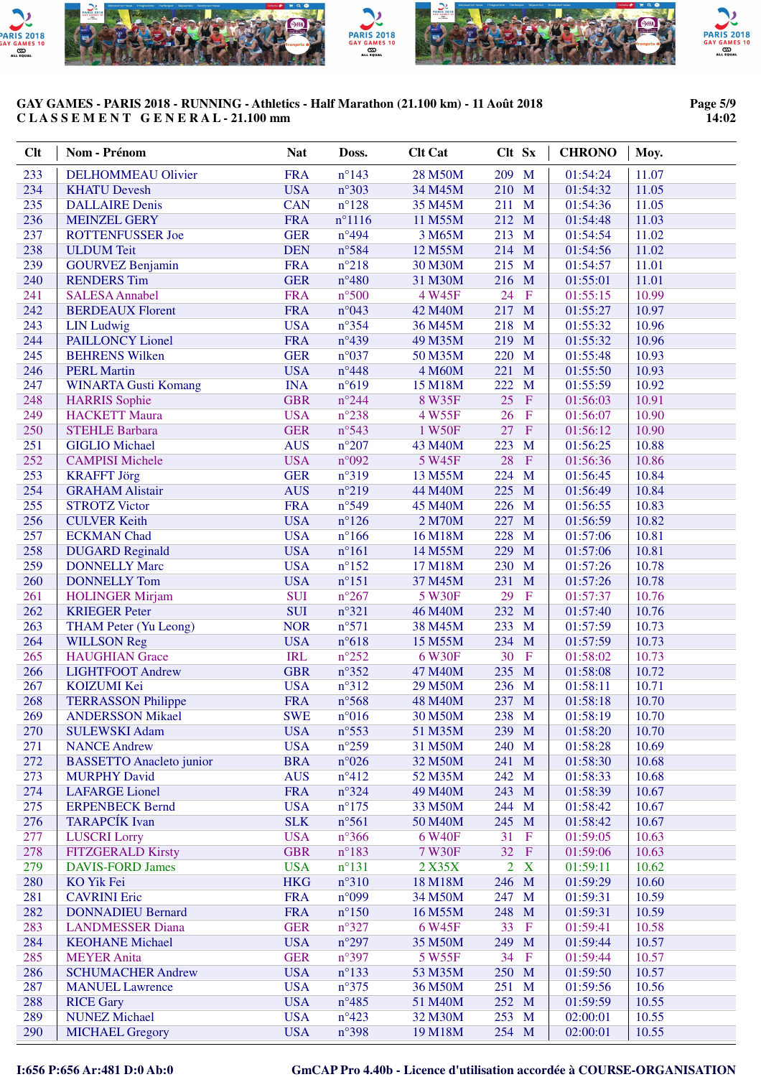

#### **Page 5/9 14:02**

| <b>Clt</b> | Nom - Prénom                                    | <b>Nat</b>               | Doss.                   | <b>Clt Cat</b>     | Clt Sx                         | <b>CHRONO</b>        | Moy.           |
|------------|-------------------------------------------------|--------------------------|-------------------------|--------------------|--------------------------------|----------------------|----------------|
| 233        | <b>DELHOMMEAU Olivier</b>                       | <b>FRA</b>               | $n^{\circ}$ 143         | 28 M50M            | 209 M                          | 01:54:24             | 11.07          |
| 234        | <b>KHATU Devesh</b>                             | <b>USA</b>               | $n^{\circ}303$          | 34 M45M            | 210 M                          | 01:54:32             | 11.05          |
| 235        | <b>DALLAIRE</b> Denis                           | <b>CAN</b>               | $n^{\circ}128$          | 35 M45M            | 211 M                          | 01:54:36             | 11.05          |
| 236        | <b>MEINZEL GERY</b>                             | <b>FRA</b>               | $n^{\circ}1116$         | 11 M55M            | 212 M                          | 01:54:48             | 11.03          |
| 237        | <b>ROTTENFUSSER Joe</b>                         | <b>GER</b>               | $n^{\circ}494$          | 3 M65M             | 213 M                          | 01:54:54             | 11.02          |
| 238        | <b>ULDUM</b> Teit                               | <b>DEN</b>               | n°584                   | 12 M55M            | 214 M                          | 01:54:56             | 11.02          |
| 239        | <b>GOURVEZ Benjamin</b>                         | <b>FRA</b>               | $n^{\circ}218$          | 30 M30M            | 215 M                          | 01:54:57             | 11.01          |
| 240        | <b>RENDERS</b> Tim                              | <b>GER</b>               | $n^{\circ}480$          | 31 M30M            | 216 M                          | 01:55:01             | 11.01          |
| 241        | <b>SALESA Annabel</b>                           | <b>FRA</b>               | $n^{\circ}500$          | 4 W45F             | 24<br>$\mathbf{F}$             | 01:55:15             | 10.99          |
| 242        | <b>BERDEAUX Florent</b>                         | <b>FRA</b>               | $n^{\circ}043$          | 42 M40M            | 217 M                          | 01:55:27             | 10.97          |
| 243        | <b>LIN</b> Ludwig                               | <b>USA</b>               | $n^{\circ}354$          | 36 M45M            | 218<br>$\mathbf{M}$            | 01:55:32             | 10.96          |
| 244        | <b>PAILLONCY Lionel</b>                         | <b>FRA</b>               | $n^{\circ}439$          | 49 M35M            | 219<br>M                       | 01:55:32             | 10.96          |
| 245        | <b>BEHRENS Wilken</b>                           | <b>GER</b>               | $n^{\circ}037$          | 50 M35M            | M<br>220                       | 01:55:48             | 10.93          |
| 246        | <b>PERL Martin</b>                              | <b>USA</b>               | $n^{\circ}448$          | 4 M60M             | 221<br>M                       | 01:55:50             | 10.93          |
| 247        | <b>WINARTA Gusti Komang</b>                     | <b>INA</b>               | n°619                   | 15 M18M            | 222<br>M                       | 01:55:59             | 10.92          |
| 248        | <b>HARRIS</b> Sophie                            | <b>GBR</b>               | $n^{\circ}244$          | 8 W35F             | 25<br>$\mathbf{F}$             | 01:56:03             | 10.91          |
| 249        | <b>HACKETT Maura</b>                            | <b>USA</b>               | $n^{\circ}238$          | 4 W55F             | 26<br>$\mathbf F$              | 01:56:07             | 10.90          |
| 250        | <b>STEHLE Barbara</b>                           | <b>GER</b>               | $n^{\circ}543$          | 1 W50F             | 27<br>$\mathbf{F}$             | 01:56:12             | 10.90          |
| 251        | <b>GIGLIO</b> Michael                           | <b>AUS</b>               | $n^{\circ}207$          | 43 M40M            | 223<br>M                       | 01:56:25             | 10.88          |
| 252        | <b>CAMPISI Michele</b>                          | <b>USA</b>               | $n^{\circ}092$          | 5 W45F             | 28<br>$\mathbf{F}$<br>M        | 01:56:36             | 10.86          |
| 253<br>254 | <b>KRAFFT Jörg</b><br><b>GRAHAM Alistair</b>    | <b>GER</b><br><b>AUS</b> | n°319<br>$n^{\circ}219$ | 13 M55M            | 224<br>225<br>$\mathbf{M}$     | 01:56:45             | 10.84<br>10.84 |
| 255        | <b>STROTZ Victor</b>                            | <b>FRA</b>               | n°549                   | 44 M40M<br>45 M40M | $\mathbf{M}$<br>226            | 01:56:49<br>01:56:55 | 10.83          |
| 256        | <b>CULVER Keith</b>                             | <b>USA</b>               | $n^{\circ}126$          | 2 M70M             | 227<br>M                       | 01:56:59             | 10.82          |
| 257        | <b>ECKMAN</b> Chad                              | <b>USA</b>               | $n^{\circ}166$          | 16 M18M            | 228<br>$\mathbf{M}$            | 01:57:06             | 10.81          |
| 258        | <b>DUGARD Reginald</b>                          | <b>USA</b>               | $n^{\circ}161$          | 14 M55M            | 229<br>M                       | 01:57:06             | 10.81          |
| 259        | <b>DONNELLY Marc</b>                            | <b>USA</b>               | $n^{\circ}152$          | 17 M18M            | 230 M                          | 01:57:26             | 10.78          |
| 260        | <b>DONNELLY Tom</b>                             | <b>USA</b>               | $n^{\circ}151$          | 37 M45M            | 231 M                          | 01:57:26             | 10.78          |
| 261        | <b>HOLINGER Mirjam</b>                          | <b>SUI</b>               | $n^{\circ}267$          | 5 W30F             | 29<br>$\mathbf{F}$             | 01:57:37             | 10.76          |
| 262        | <b>KRIEGER Peter</b>                            | <b>SUI</b>               | $n^{\circ}321$          | 46 M40M            | 232 M                          | 01:57:40             | 10.76          |
| 263        | <b>THAM Peter (Yu Leong)</b>                    | <b>NOR</b>               | n°571                   | 38 M45M            | 233 M                          | 01:57:59             | 10.73          |
| 264        | <b>WILLSON Reg</b>                              | <b>USA</b>               | $n^{\circ}618$          | 15 M55M            | 234 M                          | 01:57:59             | 10.73          |
| 265        | <b>HAUGHIAN</b> Grace                           | <b>IRL</b>               | $n^{\circ}252$          | 6 W30F             | 30<br>$\mathbf{F}$             | 01:58:02             | 10.73          |
| 266        | <b>LIGHTFOOT Andrew</b>                         | <b>GBR</b>               | $n^{\circ}352$          | 47 M40M            | 235 M                          | 01:58:08             | 10.72          |
| 267        | KOIZUMI Kei                                     | <b>USA</b>               | $n^{\circ}312$          | 29 M50M            | 236 M                          | 01:58:11             | 10.71          |
| 268        | <b>TERRASSON Philippe</b>                       | <b>FRA</b>               | $n^{\circ}$ 568         | 48 M40M            | 237 M                          | 01:58:18             | 10.70          |
| 269        | <b>ANDERSSON Mikael</b>                         | <b>SWE</b>               | $n^{\circ}016$          | 30 M50M            | $238$ M                        | 01:58:19             | 10.70          |
| 270        | <b>SULEWSKI Adam</b>                            | <b>USA</b>               | $n^{\circ}$ 553         | 51 M35M            | 239 M                          | 01:58:20             | 10.70          |
| 271        | <b>NANCE Andrew</b>                             | <b>USA</b>               | $n^{\circ}259$          | 31 M50M            | 240 M                          | 01:58:28             | 10.69          |
| 272        | <b>BASSETTO</b> Anacleto junior                 | <b>BRA</b>               | $n^{\circ}026$          | 32 M50M            | 241 M                          | 01:58:30             | 10.68          |
| 273        | <b>MURPHY David</b>                             | <b>AUS</b>               | $n^{\circ}412$          | 52 M35M            | 242 M                          | 01:58:33             | 10.68          |
| 274        | <b>LAFARGE Lionel</b>                           | <b>FRA</b>               | $n^{\circ}324$          | 49 M40M            | 243 M                          | 01:58:39             | 10.67          |
| 275        | <b>ERPENBECK Bernd</b>                          | <b>USA</b>               | $n^{\circ}175$          | 33 M50M            | 244 M                          | 01:58:42             | 10.67          |
| 276        | <b>TARAPCÍK</b> Ivan                            | <b>SLK</b>               | $n^{\circ}561$          | 50 M40M            | 245 M                          | 01:58:42             | 10.67          |
| 277        | <b>LUSCRI</b> Lorry                             | <b>USA</b>               | $n^{\circ}366$          | 6 W40F             | 31<br>$_{\rm F}$               | 01:59:05             | 10.63          |
| 278        | FITZGERALD Kirsty                               | <b>GBR</b>               | $n^{\circ}183$          | 7 W30F             | 32<br>$\mathbf{F}$             | 01:59:06             | 10.63          |
| 279        | <b>DAVIS-FORD James</b>                         | <b>USA</b>               | $n^{\circ}131$          | 2 X35X             | $\overline{2}$<br>$\mathbf{X}$ | 01:59:11             | 10.62          |
| 280        | <b>KO</b> Yik Fei                               | <b>HKG</b>               | $n^{\circ}310$          | 18 M18M            | 246 M                          | 01:59:29             | 10.60<br>10.59 |
| 281<br>282 | <b>CAVRINI Eric</b><br><b>DONNADIEU Bernard</b> | <b>FRA</b><br><b>FRA</b> | n°099<br>$n^{\circ}150$ | 34 M50M<br>16 M55M | 247 M<br>248<br>$\mathbf{M}$   | 01:59:31<br>01:59:31 | 10.59          |
| 283        | <b>LANDMESSER Diana</b>                         | <b>GER</b>               | $n^{\circ}327$          | 6 W45F             | 33<br>$\mathbf{F}$             | 01:59:41             | 10.58          |
| 284        | <b>KEOHANE Michael</b>                          | <b>USA</b>               | $n^{\circ}297$          | 35 M50M            | 249 M                          | 01:59:44             | 10.57          |
| 285        | <b>MEYER Anita</b>                              | <b>GER</b>               | $n^{\circ}397$          | 5 W55F             | 34<br>$\mathbf{F}$             | 01:59:44             | 10.57          |
| 286        | <b>SCHUMACHER Andrew</b>                        | <b>USA</b>               | $n^{\circ}$ 133         | 53 M35M            | 250 M                          | 01:59:50             | 10.57          |
| 287        | <b>MANUEL Lawrence</b>                          | <b>USA</b>               | $n^{\circ}375$          | 36 M50M            | 251 M                          | 01:59:56             | 10.56          |
| 288        | <b>RICE Gary</b>                                | <b>USA</b>               | $n^{\circ}485$          | 51 M40M            | 252 M                          | 01:59:59             | 10.55          |
| 289        | <b>NUNEZ Michael</b>                            | <b>USA</b>               | $n^{\circ}423$          | 32 M30M            | 253 M                          | 02:00:01             | 10.55          |
| 290        | <b>MICHAEL Gregory</b>                          | <b>USA</b>               | $n^{\circ}398$          | 19 M18M            | 254 M                          | 02:00:01             | 10.55          |
|            |                                                 |                          |                         |                    |                                |                      |                |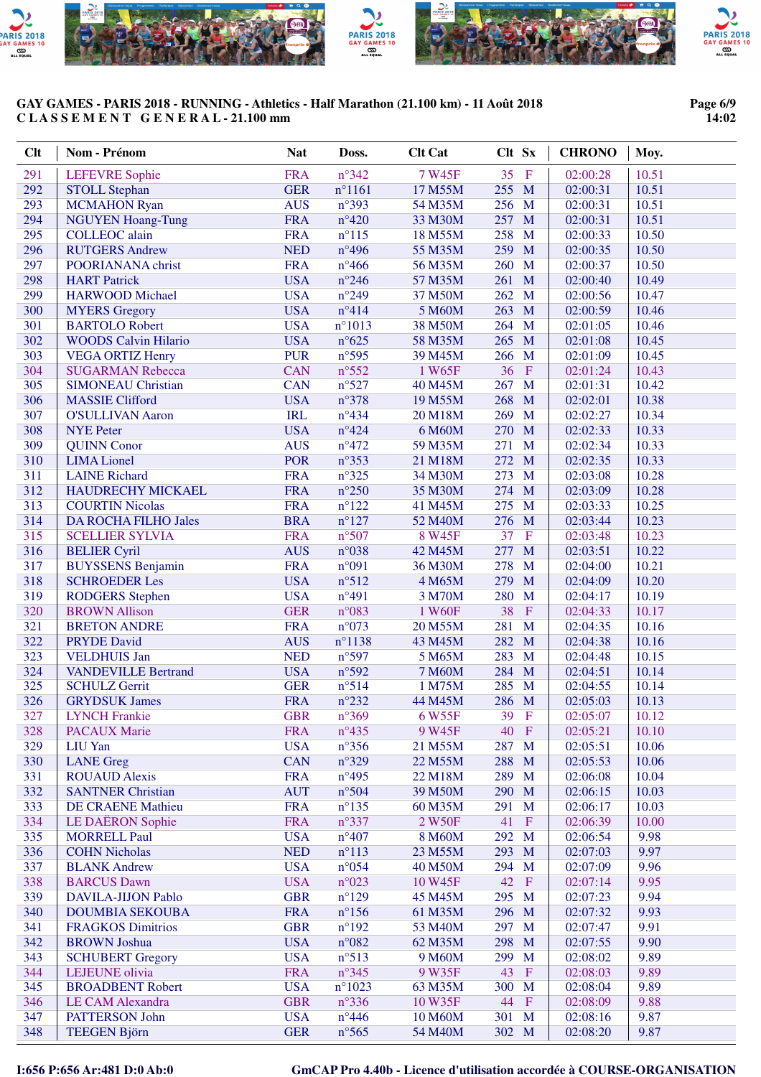

#### **Page 6/9 14:02**

| Clt        | Nom - Prénom                                    | <b>Nat</b>               | Doss.           | <b>Clt Cat</b>    | Clt Sx                  | <b>CHRONO</b>        | Moy.           |
|------------|-------------------------------------------------|--------------------------|-----------------|-------------------|-------------------------|----------------------|----------------|
| 291        | <b>LEFEVRE</b> Sophie                           | <b>FRA</b>               | $n^{\circ}342$  | 7 W45F            | 35<br>$\mathbf{F}$      | 02:00:28             | 10.51          |
| 292        | <b>STOLL Stephan</b>                            | <b>GER</b>               | $n^{\circ}1161$ | 17 M55M           | 255 M                   | 02:00:31             | 10.51          |
| 293        | <b>MCMAHON Ryan</b>                             | <b>AUS</b>               | $n^{\circ}393$  | 54 M35M           | 256 M                   | 02:00:31             | 10.51          |
| 294        | <b>NGUYEN Hoang-Tung</b>                        | <b>FRA</b>               | $n^{\circ}420$  | 33 M30M           | 257<br>$\mathbf{M}$     | 02:00:31             | 10.51          |
| 295        | <b>COLLEOC</b> alain                            | <b>FRA</b>               | $n^{\circ}115$  | 18 M55M           | 258 M                   | 02:00:33             | 10.50          |
| 296        | <b>RUTGERS Andrew</b>                           | <b>NED</b>               | $n^{\circ}496$  | 55 M35M           | 259 M                   | 02:00:35             | 10.50          |
| 297        | POORIANANA christ                               | <b>FRA</b>               | $n^{\circ}466$  | 56 M35M           | 260 M                   | 02:00:37             | 10.50          |
| 298        | <b>HART</b> Patrick                             | <b>USA</b>               | $n^{\circ}246$  | 57 M35M           | 261 M                   | 02:00:40             | 10.49          |
| 299        | <b>HARWOOD</b> Michael                          | <b>USA</b>               | $n^{\circ}249$  | 37 M50M           | 262 M                   | 02:00:56             | 10.47          |
| 300        | <b>MYERS Gregory</b>                            | <b>USA</b>               | $n^{\circ}414$  | 5 M60M            | 263 M                   | 02:00:59             | 10.46          |
| 301        | <b>BARTOLO Robert</b>                           | <b>USA</b>               | $n^{\circ}1013$ | 38 M50M           | 264 M                   | 02:01:05             | 10.46          |
| 302        | <b>WOODS Calvin Hilario</b>                     | <b>USA</b>               | $n^{\circ}625$  | 58 M35M           | 265<br>$\mathbf{M}$     | 02:01:08             | 10.45          |
| 303        | <b>VEGA ORTIZ Henry</b>                         | <b>PUR</b>               | $n^{\circ}595$  | 39 M45M           | 266<br>M                | 02:01:09             | 10.45          |
| 304        | <b>SUGARMAN Rebecca</b>                         | <b>CAN</b>               | $n^{\circ}552$  | 1 W65F            | 36<br>$\mathbf{F}$      | 02:01:24             | 10.43          |
| 305        | <b>SIMONEAU Christian</b>                       | <b>CAN</b>               | $n^{\circ}527$  | 40 M45M           | 267<br>M                | 02:01:31             | 10.42          |
| 306        | <b>MASSIE Clifford</b>                          | <b>USA</b>               | $n^{\circ}378$  | 19 M55M           | 268<br>M                | 02:02:01             | 10.38          |
| 307        | <b>O'SULLIVAN Aaron</b>                         | <b>IRL</b>               | $n^{\circ}434$  | 20 M18M           | M<br>269                | 02:02:27             | 10.34          |
| 308        | <b>NYE</b> Peter                                | <b>USA</b>               | $n^{\circ}424$  | 6 M60M            | M<br>270                | 02:02:33             | 10.33          |
| 309        | <b>QUINN Conor</b>                              | <b>AUS</b>               | $n^{\circ}472$  | 59 M35M           | 271<br>M                | 02:02:34             | 10.33          |
| 310        | <b>LIMA</b> Lionel                              | <b>POR</b>               | $n^{\circ}353$  | 21 M18M           | 272<br>M                | 02:02:35             | 10.33          |
| 311        | <b>LAINE Richard</b>                            | <b>FRA</b>               | $n^{\circ}325$  | 34 M30M           | 273<br>M                | 02:03:08             | 10.28          |
| 312        | HAUDRECHY MICKAEL                               | <b>FRA</b>               | $n^{\circ}250$  | 35 M30M           | 274<br>M                | 02:03:09             | 10.28          |
| 313        | <b>COURTIN Nicolas</b>                          | <b>FRA</b>               | $n^{\circ}122$  | 41 M45M           | 275<br>M                | 02:03:33             | 10.25          |
| 314        | <b>DA ROCHA FILHO Jales</b>                     | <b>BRA</b>               | $n^{\circ}127$  | 52 M40M           | 276<br>M<br>$\mathbf F$ | 02:03:44             | 10.23          |
| 315<br>316 | <b>SCELLIER SYLVIA</b>                          | <b>FRA</b><br><b>AUS</b> | n°507<br>n°038  | 8 W45F<br>42 M45M | 37<br>277<br>M          | 02:03:48<br>02:03:51 | 10.23<br>10.22 |
| 317        | <b>BELIER Cyril</b><br><b>BUYSSENS Benjamin</b> | <b>FRA</b>               | n°091           | 36 M30M           | 278<br>M                | 02:04:00             | 10.21          |
| 318        | <b>SCHROEDER Les</b>                            | <b>USA</b>               | n°512           | 4 M65M            | 279<br>M                | 02:04:09             | 10.20          |
| 319        | <b>RODGERS</b> Stephen                          | <b>USA</b>               | $n^{\circ}491$  | 3 M70M            | 280<br>$\mathbf{M}$     | 02:04:17             | 10.19          |
| 320        | <b>BROWN Allison</b>                            | <b>GER</b>               | n°083           | 1 W60F            | 38<br>$\rm F$           | 02:04:33             | 10.17          |
| 321        | <b>BRETON ANDRE</b>                             | <b>FRA</b>               | $n^{\circ}073$  | 20 M55M           | 281<br>$\mathbf{M}$     | 02:04:35             | 10.16          |
| 322        | <b>PRYDE David</b>                              | <b>AUS</b>               | $n^{\circ}1138$ | 43 M45M           | 282 M                   | 02:04:38             | 10.16          |
| 323        | <b>VELDHUIS Jan</b>                             | <b>NED</b>               | n°597           | 5 M65M            | 283 M                   | 02:04:48             | 10.15          |
| 324        | <b>VANDEVILLE Bertrand</b>                      | <b>USA</b>               | $n^{\circ}592$  | 7 M60M            | 284 M                   | 02:04:51             | 10.14          |
| 325        | <b>SCHULZ Gerrit</b>                            | <b>GER</b>               | n°514           | 1 M75M            | 285 M                   | 02:04:55             | 10.14          |
| 326        | <b>GRYDSUK James</b>                            | <b>FRA</b>               | $n^{\circ}232$  | 44 M45M           | 286 M                   | 02:05:03             | 10.13          |
| 327        | <b>LYNCH Frankie</b>                            | <b>GBR</b>               | $n^{\circ}369$  | 6 W55F            | 39 F                    | 02:05:07             | 10.12          |
| 328        | <b>PACAUX Marie</b>                             | <b>FRA</b>               | $n^{\circ}435$  | 9 W45F            | 40 F                    | 02:05:21             | 10.10          |
| 329        | <b>LIU</b> Yan                                  | <b>USA</b>               | $n^{\circ}356$  | 21 M55M           | 287 M                   | 02:05:51             | 10.06          |
| 330        | <b>LANE</b> Greg                                | <b>CAN</b>               | $n^{\circ}329$  | 22 M55M           | 288<br>M                | 02:05:53             | 10.06          |
| 331        | <b>ROUAUD Alexis</b>                            | <b>FRA</b>               | $n^{\circ}495$  | 22 M18M           | 289<br>M                | 02:06:08             | 10.04          |
| 332        | <b>SANTNER Christian</b>                        | <b>AUT</b>               | $n^{\circ}504$  | 39 M50M           | 290<br>M                | 02:06:15             | 10.03          |
| 333        | <b>DE CRAENE Mathieu</b>                        | <b>FRA</b>               | $n^{\circ}$ 135 | 60 M35M           | M<br>291                | 02:06:17             | 10.03          |
| 334        | <b>LE DAËRON Sophie</b>                         | <b>FRA</b>               | $n^{\circ}337$  | 2 W50F            | 41<br>$\mathbf{F}$      | 02:06:39             | 10.00          |
| 335        | <b>MORRELL Paul</b>                             | <b>USA</b>               | $n^{\circ}407$  | 8 M60M            | 292 M                   | 02:06:54             | 9.98           |
| 336        | <b>COHN Nicholas</b>                            | <b>NED</b>               | $n^{\circ}113$  | 23 M55M           | 293 M                   | 02:07:03             | 9.97           |
| 337        | <b>BLANK Andrew</b>                             | <b>USA</b>               | $n^{\circ}054$  | 40 M50M           | 294<br>M                | 02:07:09             | 9.96           |
| 338        | <b>BARCUS</b> Dawn                              | <b>USA</b>               | $n^{\circ}023$  | 10 W45F           | 42<br>$\mathbf{F}$      | 02:07:14             | 9.95           |
| 339        | <b>DAVILA-JIJON Pablo</b>                       | <b>GBR</b>               | $n^{\circ}129$  | 45 M45M           | 295 M                   | 02:07:23             | 9.94           |
| 340        | <b>DOUMBIA SEKOUBA</b>                          | <b>FRA</b>               | $n^{\circ}156$  | 61 M35M           | 296 M                   | 02:07:32             | 9.93           |
| 341        | <b>FRAGKOS Dimitrios</b>                        | <b>GBR</b>               | $n^{\circ}192$  | 53 M40M           | 297<br>$\mathbf{M}$     | 02:07:47             | 9.91           |
| 342        | <b>BROWN</b> Joshua                             | <b>USA</b>               | $n^{\circ}082$  | 62 M35M           | 298<br>M                | 02:07:55             | 9.90           |
| 343        | <b>SCHUBERT Gregory</b>                         | <b>USA</b>               | $n^{\circ}513$  | 9 M60M            | 299<br>M                | 02:08:02             | 9.89           |
| 344        | LEJEUNE olivia                                  | <b>FRA</b>               | $n^{\circ}345$  | 9 W35F            | 43<br>$\mathbf{F}$      | 02:08:03             | 9.89           |
| 345        | <b>BROADBENT Robert</b>                         | <b>USA</b>               | $n^{\circ}1023$ | 63 M35M           | 300 M                   | 02:08:04             | 9.89           |
| 346        | <b>LE CAM Alexandra</b>                         | <b>GBR</b>               | $n^{\circ}336$  | 10 W35F           | 44<br>$\mathbf{F}$      | 02:08:09             | 9.88           |
| 347        | PATTERSON John                                  | <b>USA</b>               | $n^{\circ}446$  | 10 M60M           | 301 M                   | 02:08:16             | 9.87           |
| 348        | <b>TEEGEN Björn</b>                             | <b>GER</b>               | $n^{\circ}$ 565 | 54 M40M           | 302 M                   | 02:08:20             | 9.87           |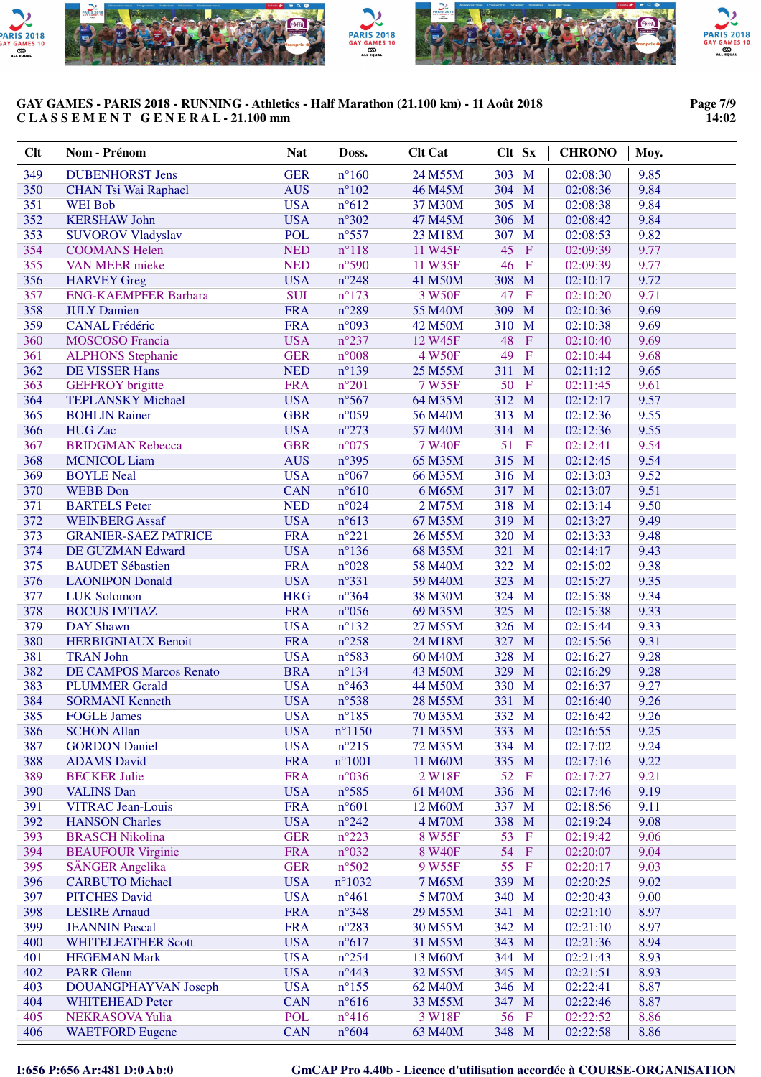

#### **Page 7/9 14:02**

| 349<br><b>GER</b><br>$n^{\circ}160$<br>303 M<br><b>DUBENHORST Jens</b><br>24 M55M<br>02:08:30<br>9.85<br>350<br><b>AUS</b><br>$n^{\circ}102$<br>304 M<br>9.84<br><b>CHAN Tsi Wai Raphael</b><br>46 M45M<br>02:08:36<br>351<br><b>USA</b><br>$n^{\circ}612$<br>305 M<br>9.84<br>37 M30M<br>02:08:38<br><b>WEI</b> Bob<br>352<br><b>USA</b><br>$n^{\circ}302$<br>306 M<br>9.84<br><b>KERSHAW John</b><br>47 M45M<br>02:08:42<br>353<br><b>POL</b><br>$n^{\circ}$ 557<br>307<br>M<br>9.82<br><b>SUVOROV Vladyslav</b><br>23 M18M<br>02:08:53<br>354<br><b>NED</b><br>$n^{\circ}118$<br>45<br>$\rm F$<br>9.77<br><b>COOMANS Helen</b><br>11 W45F<br>02:09:39<br>355<br><b>NED</b><br>$n^{\circ}590$<br>46<br>$\mathbf{F}$<br>9.77<br><b>VAN MEER mieke</b><br>11 W35F<br>02:09:39<br>356<br><b>USA</b><br>$n^{\circ}248$<br>308<br>M<br>9.72<br><b>HARVEY</b> Greg<br>41 M50M<br>02:10:17<br>357<br><b>SUI</b><br>47<br>$\mathbf F$<br>9.71<br><b>ENG-KAEMPFER Barbara</b><br>$n^{\circ}173$<br>3 W50F<br>02:10:20<br>358<br><b>FRA</b><br>$n^{\circ}289$<br>309<br>M<br>9.69<br>55 M40M<br><b>JULY Damien</b><br>02:10:36<br>359<br><b>FRA</b><br>n°093<br>310<br>M<br>9.69<br><b>CANAL Frédéric</b><br>42 M50M<br>02:10:38<br>360<br><b>USA</b><br>$n^{\circ}237$<br>48<br>$\mathbf F$<br>9.69<br>12 W45F<br><b>MOSCOSO</b> Francia<br>02:10:40<br>49<br>$\mathbf{F}$<br>361<br><b>GER</b><br>$n^{\circ}008$<br>4 W50F<br>9.68<br><b>ALPHONS</b> Stephanie<br>02:10:44<br>362<br><b>NED</b><br><b>DE VISSER Hans</b><br>$n^{\circ}139$<br>311<br>M<br>9.65<br>25 M55M<br>02:11:12<br>363<br>$n^{\circ}201$<br>50<br><b>GEFFROY</b> brigitte<br><b>FRA</b><br>7 W55F<br>$\mathbf F$<br>9.61<br>02:11:45<br>364<br>$n^{\circ}567$<br><b>TEPLANSKY Michael</b><br><b>USA</b><br>312 M<br>02:12:17<br>9.57<br>64 M35M<br>365<br><b>GBR</b><br>$n^{\circ}059$<br><b>BOHLIN Rainer</b><br>313<br>M<br>02:12:36<br>9.55<br>56 M40M<br>$n^{\circ}273$<br>366<br><b>USA</b><br>314<br>M<br>02:12:36<br>9.55<br><b>HUG</b> Zac<br>57 M40M<br>367<br><b>GBR</b><br>$n^{\circ}075$<br>51<br><b>BRIDGMAN Rebecca</b><br>7 W40F<br>$\mathbf F$<br>02:12:41<br>9.54<br>368<br><b>AUS</b><br>$n^{\circ}395$<br>315 M<br>02:12:45<br>9.54<br><b>MCNICOL Liam</b><br>65 M35M<br>369<br><b>USA</b><br>$n^{\circ}067$<br>316 M<br>02:13:03<br>9.52<br><b>BOYLE Neal</b><br>66 M35M<br>370<br><b>CAN</b><br>$n^{\circ}610$<br>M<br>9.51<br><b>WEBB</b> Don<br>6 M65M<br>317<br>02:13:07<br>371<br><b>NED</b><br>318<br>M<br>9.50<br><b>BARTELS</b> Peter<br>$n^{\circ}024$<br>2 M75M<br>02:13:14<br>372<br><b>USA</b><br>$n^{\circ}613$<br>319<br>M<br><b>WEINBERG Assaf</b><br>67 M35M<br>02:13:27<br>9.49<br>373<br><b>FRA</b><br>$n^{\circ}221$<br>320<br>M<br>9.48<br><b>GRANIER-SAEZ PATRICE</b><br>26 M55M<br>02:13:33<br>374<br><b>USA</b><br>$n^{\circ}136$<br>321<br>M<br>9.43<br>DE GUZMAN Edward<br>68 M35M<br>02:14:17<br>375<br><b>FRA</b><br>$n^{\circ}028$<br>322<br>9.38<br><b>BAUDET Sébastien</b><br>58 M40M<br>$\mathbf{M}$<br>02:15:02<br>376<br><b>USA</b><br>$n^{\circ}331$<br>323<br>M<br>9.35<br><b>LAONIPON Donald</b><br>59 M40M<br>02:15:27<br>377<br><b>HKG</b><br>$n^{\circ}364$<br>324<br>$\mathbf{M}$<br>9.34<br><b>LUK Solomon</b><br>38 M30M<br>02:15:38<br>325<br>378<br><b>FRA</b><br>$n^{\circ}056$<br>$\mathbf{M}$<br>9.33<br><b>BOCUS IMTIAZ</b><br>69 M35M<br>02:15:38<br>379<br><b>USA</b><br>$n^{\circ}132$<br>326 M<br>9.33<br><b>DAY</b> Shawn<br>27 M55M<br>02:15:44<br><b>FRA</b><br>380<br>$n^{\circ}258$<br>327<br>M<br>9.31<br><b>HERBIGNIAUX Benoit</b><br>24 M18M<br>02:15:56<br>381<br><b>USA</b><br>n°583<br>328<br>9.28<br><b>TRAN John</b><br>60 M40M<br>M<br>02:16:27<br><b>BRA</b><br>382<br>329<br>M<br>9.28<br><b>DE CAMPOS Marcos Renato</b><br>$n^{\circ}134$<br>43 M50M<br>02:16:29<br>383<br><b>USA</b><br>330<br>M<br>9.27<br><b>PLUMMER Gerald</b><br>$n^{\circ}463$<br>44 M50M<br>02:16:37<br>384<br><b>USA</b><br>331<br>M<br>9.26<br><b>SORMANI Kenneth</b><br>$n^{\circ}538$<br>28 M55M<br>02:16:40<br>385<br>332 M<br><b>USA</b><br>$n^{\circ}185$<br>70 M35M<br>9.26<br><b>FOGLE James</b><br>02:16:42<br>386<br><b>SCHON Allan</b><br><b>USA</b><br>$n^{\circ}1150$<br>71 M35M<br>333 M<br>02:16:55<br>9.25<br>387<br><b>USA</b><br>$n^{\circ}215$<br><b>GORDON Daniel</b><br>72 M35M<br>334 M<br>02:17:02<br>9.24<br>388<br><b>FRA</b><br><b>ADAMS</b> David<br>$n^{\circ}1001$<br>335 M<br>02:17:16<br>9.22<br>11 M60M<br>389<br><b>BECKER Julie</b><br><b>FRA</b><br>$n^{\circ}036$<br>2 W18F<br>52<br>$\mathbf{F}$<br>02:17:27<br>9.21<br>390<br><b>USA</b><br>$n^{\circ}585$<br>336 M<br><b>VALINS Dan</b><br>61 M40M<br>02:17:46<br>9.19<br>391<br>$n^{\circ}601$<br><b>VITRAC Jean-Louis</b><br><b>FRA</b><br>12 M60M<br>337 M<br>02:18:56<br>9.11<br>392<br><b>USA</b><br>$n^{\circ}242$<br><b>HANSON Charles</b><br>4 M70M<br>338<br>$\mathbf{M}$<br>02:19:24<br>9.08<br>393<br><b>GER</b><br>$n^{\circ}223$<br>53<br><b>BRASCH Nikolina</b><br>8 W55F<br>$\mathbf F$<br>02:19:42<br>9.06<br>394<br><b>FRA</b><br>$n^{\circ}032$<br>54<br>$\mathbf{F}$<br><b>BEAUFOUR Virginie</b><br>8 W40F<br>02:20:07<br>9.04<br>395<br>55<br><b>SÄNGER Angelika</b><br><b>GER</b><br>$n^{\circ}502$<br>9 W55F<br>$\mathbf{F}$<br>02:20:17<br>9.03<br>396<br><b>CARBUTO Michael</b><br><b>USA</b><br>$n^{\circ}1032$<br>339 M<br>9.02<br>7 M65M<br>02:20:25<br>340 M<br>397<br><b>PITCHES David</b><br><b>USA</b><br>$n^{\circ}461$<br>5 M70M<br>02:20:43<br>9.00<br>398<br><b>LESIRE</b> Arnaud<br><b>FRA</b><br>$n^{\circ}348$<br>341<br>$\mathbf{M}$<br>02:21:10<br>8.97<br>29 M55M<br>399<br><b>FRA</b><br>$n^{\circ}283$<br>342 M<br><b>JEANNIN Pascal</b><br>30 M55M<br>02:21:10<br>8.97<br><b>USA</b><br>400<br>$n^{\circ}617$<br>31 M55M<br>343 M<br>02:21:36<br><b>WHITELEATHER Scott</b><br>8.94<br><b>USA</b><br>401<br>$n^{\circ}254$<br>344 M<br><b>HEGEMAN Mark</b><br>13 M60M<br>02:21:43<br>8.93<br>402<br><b>PARR Glenn</b><br><b>USA</b><br>$n^{\circ}443$<br>345 M<br>02:21:51<br>8.93<br>32 M55M<br>403<br><b>USA</b><br>DOUANGPHAYVAN Joseph<br>$n^{\circ}155$<br>346 M<br>02:22:41<br>8.87<br>62 M40M | Clt | Nom - Prénom | <b>Nat</b> | Doss.          | <b>Clt Cat</b> | Clt Sx | <b>CHRONO</b> | Moy. |
|-------------------------------------------------------------------------------------------------------------------------------------------------------------------------------------------------------------------------------------------------------------------------------------------------------------------------------------------------------------------------------------------------------------------------------------------------------------------------------------------------------------------------------------------------------------------------------------------------------------------------------------------------------------------------------------------------------------------------------------------------------------------------------------------------------------------------------------------------------------------------------------------------------------------------------------------------------------------------------------------------------------------------------------------------------------------------------------------------------------------------------------------------------------------------------------------------------------------------------------------------------------------------------------------------------------------------------------------------------------------------------------------------------------------------------------------------------------------------------------------------------------------------------------------------------------------------------------------------------------------------------------------------------------------------------------------------------------------------------------------------------------------------------------------------------------------------------------------------------------------------------------------------------------------------------------------------------------------------------------------------------------------------------------------------------------------------------------------------------------------------------------------------------------------------------------------------------------------------------------------------------------------------------------------------------------------------------------------------------------------------------------------------------------------------------------------------------------------------------------------------------------------------------------------------------------------------------------------------------------------------------------------------------------------------------------------------------------------------------------------------------------------------------------------------------------------------------------------------------------------------------------------------------------------------------------------------------------------------------------------------------------------------------------------------------------------------------------------------------------------------------------------------------------------------------------------------------------------------------------------------------------------------------------------------------------------------------------------------------------------------------------------------------------------------------------------------------------------------------------------------------------------------------------------------------------------------------------------------------------------------------------------------------------------------------------------------------------------------------------------------------------------------------------------------------------------------------------------------------------------------------------------------------------------------------------------------------------------------------------------------------------------------------------------------------------------------------------------------------------------------------------------------------------------------------------------------------------------------------------------------------------------------------------------------------------------------------------------------------------------------------------------------------------------------------------------------------------------------------------------------------------------------------------------------------------------------------------------------------------------------------------------------------------------------------------------------------------------------------------------------------------------------------------------------------------------------------------------------------------------------------------------------------------------------------------------------------------------------------------------------------------------------------------------------------------------------------------------------------------------------------------------------------------------------------------------------------------------------------------------------------------------------------------------------------------------------------------------------------------------------------------------------------------------------------------------------------------------------------------------------------------------------------------------------------------------------------------------------------------------------------------------------------------------------------------------------------------------------------------------------------------------------------------------------------------------------------------------------------------------------------------------------------------------------------------------------------------------------------------------------------------------------------------------------------------------------------------------------------------------------------------------------------------------------|-----|--------------|------------|----------------|----------------|--------|---------------|------|
|                                                                                                                                                                                                                                                                                                                                                                                                                                                                                                                                                                                                                                                                                                                                                                                                                                                                                                                                                                                                                                                                                                                                                                                                                                                                                                                                                                                                                                                                                                                                                                                                                                                                                                                                                                                                                                                                                                                                                                                                                                                                                                                                                                                                                                                                                                                                                                                                                                                                                                                                                                                                                                                                                                                                                                                                                                                                                                                                                                                                                                                                                                                                                                                                                                                                                                                                                                                                                                                                                                                                                                                                                                                                                                                                                                                                                                                                                                                                                                                                                                                                                                                                                                                                                                                                                                                                                                                                                                                                                                                                                                                                                                                                                                                                                                                                                                                                                                                                                                                                                                                                                                                                                                                                                                                                                                                                                                                                                                                                                                                                                                                                                                                                                                                                                                                                                                                                                                                                                                                                                                                                                                                                                                         |     |              |            |                |                |        |               |      |
|                                                                                                                                                                                                                                                                                                                                                                                                                                                                                                                                                                                                                                                                                                                                                                                                                                                                                                                                                                                                                                                                                                                                                                                                                                                                                                                                                                                                                                                                                                                                                                                                                                                                                                                                                                                                                                                                                                                                                                                                                                                                                                                                                                                                                                                                                                                                                                                                                                                                                                                                                                                                                                                                                                                                                                                                                                                                                                                                                                                                                                                                                                                                                                                                                                                                                                                                                                                                                                                                                                                                                                                                                                                                                                                                                                                                                                                                                                                                                                                                                                                                                                                                                                                                                                                                                                                                                                                                                                                                                                                                                                                                                                                                                                                                                                                                                                                                                                                                                                                                                                                                                                                                                                                                                                                                                                                                                                                                                                                                                                                                                                                                                                                                                                                                                                                                                                                                                                                                                                                                                                                                                                                                                                         |     |              |            |                |                |        |               |      |
|                                                                                                                                                                                                                                                                                                                                                                                                                                                                                                                                                                                                                                                                                                                                                                                                                                                                                                                                                                                                                                                                                                                                                                                                                                                                                                                                                                                                                                                                                                                                                                                                                                                                                                                                                                                                                                                                                                                                                                                                                                                                                                                                                                                                                                                                                                                                                                                                                                                                                                                                                                                                                                                                                                                                                                                                                                                                                                                                                                                                                                                                                                                                                                                                                                                                                                                                                                                                                                                                                                                                                                                                                                                                                                                                                                                                                                                                                                                                                                                                                                                                                                                                                                                                                                                                                                                                                                                                                                                                                                                                                                                                                                                                                                                                                                                                                                                                                                                                                                                                                                                                                                                                                                                                                                                                                                                                                                                                                                                                                                                                                                                                                                                                                                                                                                                                                                                                                                                                                                                                                                                                                                                                                                         |     |              |            |                |                |        |               |      |
|                                                                                                                                                                                                                                                                                                                                                                                                                                                                                                                                                                                                                                                                                                                                                                                                                                                                                                                                                                                                                                                                                                                                                                                                                                                                                                                                                                                                                                                                                                                                                                                                                                                                                                                                                                                                                                                                                                                                                                                                                                                                                                                                                                                                                                                                                                                                                                                                                                                                                                                                                                                                                                                                                                                                                                                                                                                                                                                                                                                                                                                                                                                                                                                                                                                                                                                                                                                                                                                                                                                                                                                                                                                                                                                                                                                                                                                                                                                                                                                                                                                                                                                                                                                                                                                                                                                                                                                                                                                                                                                                                                                                                                                                                                                                                                                                                                                                                                                                                                                                                                                                                                                                                                                                                                                                                                                                                                                                                                                                                                                                                                                                                                                                                                                                                                                                                                                                                                                                                                                                                                                                                                                                                                         |     |              |            |                |                |        |               |      |
|                                                                                                                                                                                                                                                                                                                                                                                                                                                                                                                                                                                                                                                                                                                                                                                                                                                                                                                                                                                                                                                                                                                                                                                                                                                                                                                                                                                                                                                                                                                                                                                                                                                                                                                                                                                                                                                                                                                                                                                                                                                                                                                                                                                                                                                                                                                                                                                                                                                                                                                                                                                                                                                                                                                                                                                                                                                                                                                                                                                                                                                                                                                                                                                                                                                                                                                                                                                                                                                                                                                                                                                                                                                                                                                                                                                                                                                                                                                                                                                                                                                                                                                                                                                                                                                                                                                                                                                                                                                                                                                                                                                                                                                                                                                                                                                                                                                                                                                                                                                                                                                                                                                                                                                                                                                                                                                                                                                                                                                                                                                                                                                                                                                                                                                                                                                                                                                                                                                                                                                                                                                                                                                                                                         |     |              |            |                |                |        |               |      |
|                                                                                                                                                                                                                                                                                                                                                                                                                                                                                                                                                                                                                                                                                                                                                                                                                                                                                                                                                                                                                                                                                                                                                                                                                                                                                                                                                                                                                                                                                                                                                                                                                                                                                                                                                                                                                                                                                                                                                                                                                                                                                                                                                                                                                                                                                                                                                                                                                                                                                                                                                                                                                                                                                                                                                                                                                                                                                                                                                                                                                                                                                                                                                                                                                                                                                                                                                                                                                                                                                                                                                                                                                                                                                                                                                                                                                                                                                                                                                                                                                                                                                                                                                                                                                                                                                                                                                                                                                                                                                                                                                                                                                                                                                                                                                                                                                                                                                                                                                                                                                                                                                                                                                                                                                                                                                                                                                                                                                                                                                                                                                                                                                                                                                                                                                                                                                                                                                                                                                                                                                                                                                                                                                                         |     |              |            |                |                |        |               |      |
|                                                                                                                                                                                                                                                                                                                                                                                                                                                                                                                                                                                                                                                                                                                                                                                                                                                                                                                                                                                                                                                                                                                                                                                                                                                                                                                                                                                                                                                                                                                                                                                                                                                                                                                                                                                                                                                                                                                                                                                                                                                                                                                                                                                                                                                                                                                                                                                                                                                                                                                                                                                                                                                                                                                                                                                                                                                                                                                                                                                                                                                                                                                                                                                                                                                                                                                                                                                                                                                                                                                                                                                                                                                                                                                                                                                                                                                                                                                                                                                                                                                                                                                                                                                                                                                                                                                                                                                                                                                                                                                                                                                                                                                                                                                                                                                                                                                                                                                                                                                                                                                                                                                                                                                                                                                                                                                                                                                                                                                                                                                                                                                                                                                                                                                                                                                                                                                                                                                                                                                                                                                                                                                                                                         |     |              |            |                |                |        |               |      |
|                                                                                                                                                                                                                                                                                                                                                                                                                                                                                                                                                                                                                                                                                                                                                                                                                                                                                                                                                                                                                                                                                                                                                                                                                                                                                                                                                                                                                                                                                                                                                                                                                                                                                                                                                                                                                                                                                                                                                                                                                                                                                                                                                                                                                                                                                                                                                                                                                                                                                                                                                                                                                                                                                                                                                                                                                                                                                                                                                                                                                                                                                                                                                                                                                                                                                                                                                                                                                                                                                                                                                                                                                                                                                                                                                                                                                                                                                                                                                                                                                                                                                                                                                                                                                                                                                                                                                                                                                                                                                                                                                                                                                                                                                                                                                                                                                                                                                                                                                                                                                                                                                                                                                                                                                                                                                                                                                                                                                                                                                                                                                                                                                                                                                                                                                                                                                                                                                                                                                                                                                                                                                                                                                                         |     |              |            |                |                |        |               |      |
|                                                                                                                                                                                                                                                                                                                                                                                                                                                                                                                                                                                                                                                                                                                                                                                                                                                                                                                                                                                                                                                                                                                                                                                                                                                                                                                                                                                                                                                                                                                                                                                                                                                                                                                                                                                                                                                                                                                                                                                                                                                                                                                                                                                                                                                                                                                                                                                                                                                                                                                                                                                                                                                                                                                                                                                                                                                                                                                                                                                                                                                                                                                                                                                                                                                                                                                                                                                                                                                                                                                                                                                                                                                                                                                                                                                                                                                                                                                                                                                                                                                                                                                                                                                                                                                                                                                                                                                                                                                                                                                                                                                                                                                                                                                                                                                                                                                                                                                                                                                                                                                                                                                                                                                                                                                                                                                                                                                                                                                                                                                                                                                                                                                                                                                                                                                                                                                                                                                                                                                                                                                                                                                                                                         |     |              |            |                |                |        |               |      |
|                                                                                                                                                                                                                                                                                                                                                                                                                                                                                                                                                                                                                                                                                                                                                                                                                                                                                                                                                                                                                                                                                                                                                                                                                                                                                                                                                                                                                                                                                                                                                                                                                                                                                                                                                                                                                                                                                                                                                                                                                                                                                                                                                                                                                                                                                                                                                                                                                                                                                                                                                                                                                                                                                                                                                                                                                                                                                                                                                                                                                                                                                                                                                                                                                                                                                                                                                                                                                                                                                                                                                                                                                                                                                                                                                                                                                                                                                                                                                                                                                                                                                                                                                                                                                                                                                                                                                                                                                                                                                                                                                                                                                                                                                                                                                                                                                                                                                                                                                                                                                                                                                                                                                                                                                                                                                                                                                                                                                                                                                                                                                                                                                                                                                                                                                                                                                                                                                                                                                                                                                                                                                                                                                                         |     |              |            |                |                |        |               |      |
|                                                                                                                                                                                                                                                                                                                                                                                                                                                                                                                                                                                                                                                                                                                                                                                                                                                                                                                                                                                                                                                                                                                                                                                                                                                                                                                                                                                                                                                                                                                                                                                                                                                                                                                                                                                                                                                                                                                                                                                                                                                                                                                                                                                                                                                                                                                                                                                                                                                                                                                                                                                                                                                                                                                                                                                                                                                                                                                                                                                                                                                                                                                                                                                                                                                                                                                                                                                                                                                                                                                                                                                                                                                                                                                                                                                                                                                                                                                                                                                                                                                                                                                                                                                                                                                                                                                                                                                                                                                                                                                                                                                                                                                                                                                                                                                                                                                                                                                                                                                                                                                                                                                                                                                                                                                                                                                                                                                                                                                                                                                                                                                                                                                                                                                                                                                                                                                                                                                                                                                                                                                                                                                                                                         |     |              |            |                |                |        |               |      |
|                                                                                                                                                                                                                                                                                                                                                                                                                                                                                                                                                                                                                                                                                                                                                                                                                                                                                                                                                                                                                                                                                                                                                                                                                                                                                                                                                                                                                                                                                                                                                                                                                                                                                                                                                                                                                                                                                                                                                                                                                                                                                                                                                                                                                                                                                                                                                                                                                                                                                                                                                                                                                                                                                                                                                                                                                                                                                                                                                                                                                                                                                                                                                                                                                                                                                                                                                                                                                                                                                                                                                                                                                                                                                                                                                                                                                                                                                                                                                                                                                                                                                                                                                                                                                                                                                                                                                                                                                                                                                                                                                                                                                                                                                                                                                                                                                                                                                                                                                                                                                                                                                                                                                                                                                                                                                                                                                                                                                                                                                                                                                                                                                                                                                                                                                                                                                                                                                                                                                                                                                                                                                                                                                                         |     |              |            |                |                |        |               |      |
|                                                                                                                                                                                                                                                                                                                                                                                                                                                                                                                                                                                                                                                                                                                                                                                                                                                                                                                                                                                                                                                                                                                                                                                                                                                                                                                                                                                                                                                                                                                                                                                                                                                                                                                                                                                                                                                                                                                                                                                                                                                                                                                                                                                                                                                                                                                                                                                                                                                                                                                                                                                                                                                                                                                                                                                                                                                                                                                                                                                                                                                                                                                                                                                                                                                                                                                                                                                                                                                                                                                                                                                                                                                                                                                                                                                                                                                                                                                                                                                                                                                                                                                                                                                                                                                                                                                                                                                                                                                                                                                                                                                                                                                                                                                                                                                                                                                                                                                                                                                                                                                                                                                                                                                                                                                                                                                                                                                                                                                                                                                                                                                                                                                                                                                                                                                                                                                                                                                                                                                                                                                                                                                                                                         |     |              |            |                |                |        |               |      |
|                                                                                                                                                                                                                                                                                                                                                                                                                                                                                                                                                                                                                                                                                                                                                                                                                                                                                                                                                                                                                                                                                                                                                                                                                                                                                                                                                                                                                                                                                                                                                                                                                                                                                                                                                                                                                                                                                                                                                                                                                                                                                                                                                                                                                                                                                                                                                                                                                                                                                                                                                                                                                                                                                                                                                                                                                                                                                                                                                                                                                                                                                                                                                                                                                                                                                                                                                                                                                                                                                                                                                                                                                                                                                                                                                                                                                                                                                                                                                                                                                                                                                                                                                                                                                                                                                                                                                                                                                                                                                                                                                                                                                                                                                                                                                                                                                                                                                                                                                                                                                                                                                                                                                                                                                                                                                                                                                                                                                                                                                                                                                                                                                                                                                                                                                                                                                                                                                                                                                                                                                                                                                                                                                                         |     |              |            |                |                |        |               |      |
|                                                                                                                                                                                                                                                                                                                                                                                                                                                                                                                                                                                                                                                                                                                                                                                                                                                                                                                                                                                                                                                                                                                                                                                                                                                                                                                                                                                                                                                                                                                                                                                                                                                                                                                                                                                                                                                                                                                                                                                                                                                                                                                                                                                                                                                                                                                                                                                                                                                                                                                                                                                                                                                                                                                                                                                                                                                                                                                                                                                                                                                                                                                                                                                                                                                                                                                                                                                                                                                                                                                                                                                                                                                                                                                                                                                                                                                                                                                                                                                                                                                                                                                                                                                                                                                                                                                                                                                                                                                                                                                                                                                                                                                                                                                                                                                                                                                                                                                                                                                                                                                                                                                                                                                                                                                                                                                                                                                                                                                                                                                                                                                                                                                                                                                                                                                                                                                                                                                                                                                                                                                                                                                                                                         |     |              |            |                |                |        |               |      |
|                                                                                                                                                                                                                                                                                                                                                                                                                                                                                                                                                                                                                                                                                                                                                                                                                                                                                                                                                                                                                                                                                                                                                                                                                                                                                                                                                                                                                                                                                                                                                                                                                                                                                                                                                                                                                                                                                                                                                                                                                                                                                                                                                                                                                                                                                                                                                                                                                                                                                                                                                                                                                                                                                                                                                                                                                                                                                                                                                                                                                                                                                                                                                                                                                                                                                                                                                                                                                                                                                                                                                                                                                                                                                                                                                                                                                                                                                                                                                                                                                                                                                                                                                                                                                                                                                                                                                                                                                                                                                                                                                                                                                                                                                                                                                                                                                                                                                                                                                                                                                                                                                                                                                                                                                                                                                                                                                                                                                                                                                                                                                                                                                                                                                                                                                                                                                                                                                                                                                                                                                                                                                                                                                                         |     |              |            |                |                |        |               |      |
|                                                                                                                                                                                                                                                                                                                                                                                                                                                                                                                                                                                                                                                                                                                                                                                                                                                                                                                                                                                                                                                                                                                                                                                                                                                                                                                                                                                                                                                                                                                                                                                                                                                                                                                                                                                                                                                                                                                                                                                                                                                                                                                                                                                                                                                                                                                                                                                                                                                                                                                                                                                                                                                                                                                                                                                                                                                                                                                                                                                                                                                                                                                                                                                                                                                                                                                                                                                                                                                                                                                                                                                                                                                                                                                                                                                                                                                                                                                                                                                                                                                                                                                                                                                                                                                                                                                                                                                                                                                                                                                                                                                                                                                                                                                                                                                                                                                                                                                                                                                                                                                                                                                                                                                                                                                                                                                                                                                                                                                                                                                                                                                                                                                                                                                                                                                                                                                                                                                                                                                                                                                                                                                                                                         |     |              |            |                |                |        |               |      |
|                                                                                                                                                                                                                                                                                                                                                                                                                                                                                                                                                                                                                                                                                                                                                                                                                                                                                                                                                                                                                                                                                                                                                                                                                                                                                                                                                                                                                                                                                                                                                                                                                                                                                                                                                                                                                                                                                                                                                                                                                                                                                                                                                                                                                                                                                                                                                                                                                                                                                                                                                                                                                                                                                                                                                                                                                                                                                                                                                                                                                                                                                                                                                                                                                                                                                                                                                                                                                                                                                                                                                                                                                                                                                                                                                                                                                                                                                                                                                                                                                                                                                                                                                                                                                                                                                                                                                                                                                                                                                                                                                                                                                                                                                                                                                                                                                                                                                                                                                                                                                                                                                                                                                                                                                                                                                                                                                                                                                                                                                                                                                                                                                                                                                                                                                                                                                                                                                                                                                                                                                                                                                                                                                                         |     |              |            |                |                |        |               |      |
|                                                                                                                                                                                                                                                                                                                                                                                                                                                                                                                                                                                                                                                                                                                                                                                                                                                                                                                                                                                                                                                                                                                                                                                                                                                                                                                                                                                                                                                                                                                                                                                                                                                                                                                                                                                                                                                                                                                                                                                                                                                                                                                                                                                                                                                                                                                                                                                                                                                                                                                                                                                                                                                                                                                                                                                                                                                                                                                                                                                                                                                                                                                                                                                                                                                                                                                                                                                                                                                                                                                                                                                                                                                                                                                                                                                                                                                                                                                                                                                                                                                                                                                                                                                                                                                                                                                                                                                                                                                                                                                                                                                                                                                                                                                                                                                                                                                                                                                                                                                                                                                                                                                                                                                                                                                                                                                                                                                                                                                                                                                                                                                                                                                                                                                                                                                                                                                                                                                                                                                                                                                                                                                                                                         |     |              |            |                |                |        |               |      |
|                                                                                                                                                                                                                                                                                                                                                                                                                                                                                                                                                                                                                                                                                                                                                                                                                                                                                                                                                                                                                                                                                                                                                                                                                                                                                                                                                                                                                                                                                                                                                                                                                                                                                                                                                                                                                                                                                                                                                                                                                                                                                                                                                                                                                                                                                                                                                                                                                                                                                                                                                                                                                                                                                                                                                                                                                                                                                                                                                                                                                                                                                                                                                                                                                                                                                                                                                                                                                                                                                                                                                                                                                                                                                                                                                                                                                                                                                                                                                                                                                                                                                                                                                                                                                                                                                                                                                                                                                                                                                                                                                                                                                                                                                                                                                                                                                                                                                                                                                                                                                                                                                                                                                                                                                                                                                                                                                                                                                                                                                                                                                                                                                                                                                                                                                                                                                                                                                                                                                                                                                                                                                                                                                                         |     |              |            |                |                |        |               |      |
|                                                                                                                                                                                                                                                                                                                                                                                                                                                                                                                                                                                                                                                                                                                                                                                                                                                                                                                                                                                                                                                                                                                                                                                                                                                                                                                                                                                                                                                                                                                                                                                                                                                                                                                                                                                                                                                                                                                                                                                                                                                                                                                                                                                                                                                                                                                                                                                                                                                                                                                                                                                                                                                                                                                                                                                                                                                                                                                                                                                                                                                                                                                                                                                                                                                                                                                                                                                                                                                                                                                                                                                                                                                                                                                                                                                                                                                                                                                                                                                                                                                                                                                                                                                                                                                                                                                                                                                                                                                                                                                                                                                                                                                                                                                                                                                                                                                                                                                                                                                                                                                                                                                                                                                                                                                                                                                                                                                                                                                                                                                                                                                                                                                                                                                                                                                                                                                                                                                                                                                                                                                                                                                                                                         |     |              |            |                |                |        |               |      |
|                                                                                                                                                                                                                                                                                                                                                                                                                                                                                                                                                                                                                                                                                                                                                                                                                                                                                                                                                                                                                                                                                                                                                                                                                                                                                                                                                                                                                                                                                                                                                                                                                                                                                                                                                                                                                                                                                                                                                                                                                                                                                                                                                                                                                                                                                                                                                                                                                                                                                                                                                                                                                                                                                                                                                                                                                                                                                                                                                                                                                                                                                                                                                                                                                                                                                                                                                                                                                                                                                                                                                                                                                                                                                                                                                                                                                                                                                                                                                                                                                                                                                                                                                                                                                                                                                                                                                                                                                                                                                                                                                                                                                                                                                                                                                                                                                                                                                                                                                                                                                                                                                                                                                                                                                                                                                                                                                                                                                                                                                                                                                                                                                                                                                                                                                                                                                                                                                                                                                                                                                                                                                                                                                                         |     |              |            |                |                |        |               |      |
|                                                                                                                                                                                                                                                                                                                                                                                                                                                                                                                                                                                                                                                                                                                                                                                                                                                                                                                                                                                                                                                                                                                                                                                                                                                                                                                                                                                                                                                                                                                                                                                                                                                                                                                                                                                                                                                                                                                                                                                                                                                                                                                                                                                                                                                                                                                                                                                                                                                                                                                                                                                                                                                                                                                                                                                                                                                                                                                                                                                                                                                                                                                                                                                                                                                                                                                                                                                                                                                                                                                                                                                                                                                                                                                                                                                                                                                                                                                                                                                                                                                                                                                                                                                                                                                                                                                                                                                                                                                                                                                                                                                                                                                                                                                                                                                                                                                                                                                                                                                                                                                                                                                                                                                                                                                                                                                                                                                                                                                                                                                                                                                                                                                                                                                                                                                                                                                                                                                                                                                                                                                                                                                                                                         |     |              |            |                |                |        |               |      |
|                                                                                                                                                                                                                                                                                                                                                                                                                                                                                                                                                                                                                                                                                                                                                                                                                                                                                                                                                                                                                                                                                                                                                                                                                                                                                                                                                                                                                                                                                                                                                                                                                                                                                                                                                                                                                                                                                                                                                                                                                                                                                                                                                                                                                                                                                                                                                                                                                                                                                                                                                                                                                                                                                                                                                                                                                                                                                                                                                                                                                                                                                                                                                                                                                                                                                                                                                                                                                                                                                                                                                                                                                                                                                                                                                                                                                                                                                                                                                                                                                                                                                                                                                                                                                                                                                                                                                                                                                                                                                                                                                                                                                                                                                                                                                                                                                                                                                                                                                                                                                                                                                                                                                                                                                                                                                                                                                                                                                                                                                                                                                                                                                                                                                                                                                                                                                                                                                                                                                                                                                                                                                                                                                                         |     |              |            |                |                |        |               |      |
|                                                                                                                                                                                                                                                                                                                                                                                                                                                                                                                                                                                                                                                                                                                                                                                                                                                                                                                                                                                                                                                                                                                                                                                                                                                                                                                                                                                                                                                                                                                                                                                                                                                                                                                                                                                                                                                                                                                                                                                                                                                                                                                                                                                                                                                                                                                                                                                                                                                                                                                                                                                                                                                                                                                                                                                                                                                                                                                                                                                                                                                                                                                                                                                                                                                                                                                                                                                                                                                                                                                                                                                                                                                                                                                                                                                                                                                                                                                                                                                                                                                                                                                                                                                                                                                                                                                                                                                                                                                                                                                                                                                                                                                                                                                                                                                                                                                                                                                                                                                                                                                                                                                                                                                                                                                                                                                                                                                                                                                                                                                                                                                                                                                                                                                                                                                                                                                                                                                                                                                                                                                                                                                                                                         |     |              |            |                |                |        |               |      |
|                                                                                                                                                                                                                                                                                                                                                                                                                                                                                                                                                                                                                                                                                                                                                                                                                                                                                                                                                                                                                                                                                                                                                                                                                                                                                                                                                                                                                                                                                                                                                                                                                                                                                                                                                                                                                                                                                                                                                                                                                                                                                                                                                                                                                                                                                                                                                                                                                                                                                                                                                                                                                                                                                                                                                                                                                                                                                                                                                                                                                                                                                                                                                                                                                                                                                                                                                                                                                                                                                                                                                                                                                                                                                                                                                                                                                                                                                                                                                                                                                                                                                                                                                                                                                                                                                                                                                                                                                                                                                                                                                                                                                                                                                                                                                                                                                                                                                                                                                                                                                                                                                                                                                                                                                                                                                                                                                                                                                                                                                                                                                                                                                                                                                                                                                                                                                                                                                                                                                                                                                                                                                                                                                                         |     |              |            |                |                |        |               |      |
|                                                                                                                                                                                                                                                                                                                                                                                                                                                                                                                                                                                                                                                                                                                                                                                                                                                                                                                                                                                                                                                                                                                                                                                                                                                                                                                                                                                                                                                                                                                                                                                                                                                                                                                                                                                                                                                                                                                                                                                                                                                                                                                                                                                                                                                                                                                                                                                                                                                                                                                                                                                                                                                                                                                                                                                                                                                                                                                                                                                                                                                                                                                                                                                                                                                                                                                                                                                                                                                                                                                                                                                                                                                                                                                                                                                                                                                                                                                                                                                                                                                                                                                                                                                                                                                                                                                                                                                                                                                                                                                                                                                                                                                                                                                                                                                                                                                                                                                                                                                                                                                                                                                                                                                                                                                                                                                                                                                                                                                                                                                                                                                                                                                                                                                                                                                                                                                                                                                                                                                                                                                                                                                                                                         |     |              |            |                |                |        |               |      |
|                                                                                                                                                                                                                                                                                                                                                                                                                                                                                                                                                                                                                                                                                                                                                                                                                                                                                                                                                                                                                                                                                                                                                                                                                                                                                                                                                                                                                                                                                                                                                                                                                                                                                                                                                                                                                                                                                                                                                                                                                                                                                                                                                                                                                                                                                                                                                                                                                                                                                                                                                                                                                                                                                                                                                                                                                                                                                                                                                                                                                                                                                                                                                                                                                                                                                                                                                                                                                                                                                                                                                                                                                                                                                                                                                                                                                                                                                                                                                                                                                                                                                                                                                                                                                                                                                                                                                                                                                                                                                                                                                                                                                                                                                                                                                                                                                                                                                                                                                                                                                                                                                                                                                                                                                                                                                                                                                                                                                                                                                                                                                                                                                                                                                                                                                                                                                                                                                                                                                                                                                                                                                                                                                                         |     |              |            |                |                |        |               |      |
|                                                                                                                                                                                                                                                                                                                                                                                                                                                                                                                                                                                                                                                                                                                                                                                                                                                                                                                                                                                                                                                                                                                                                                                                                                                                                                                                                                                                                                                                                                                                                                                                                                                                                                                                                                                                                                                                                                                                                                                                                                                                                                                                                                                                                                                                                                                                                                                                                                                                                                                                                                                                                                                                                                                                                                                                                                                                                                                                                                                                                                                                                                                                                                                                                                                                                                                                                                                                                                                                                                                                                                                                                                                                                                                                                                                                                                                                                                                                                                                                                                                                                                                                                                                                                                                                                                                                                                                                                                                                                                                                                                                                                                                                                                                                                                                                                                                                                                                                                                                                                                                                                                                                                                                                                                                                                                                                                                                                                                                                                                                                                                                                                                                                                                                                                                                                                                                                                                                                                                                                                                                                                                                                                                         |     |              |            |                |                |        |               |      |
|                                                                                                                                                                                                                                                                                                                                                                                                                                                                                                                                                                                                                                                                                                                                                                                                                                                                                                                                                                                                                                                                                                                                                                                                                                                                                                                                                                                                                                                                                                                                                                                                                                                                                                                                                                                                                                                                                                                                                                                                                                                                                                                                                                                                                                                                                                                                                                                                                                                                                                                                                                                                                                                                                                                                                                                                                                                                                                                                                                                                                                                                                                                                                                                                                                                                                                                                                                                                                                                                                                                                                                                                                                                                                                                                                                                                                                                                                                                                                                                                                                                                                                                                                                                                                                                                                                                                                                                                                                                                                                                                                                                                                                                                                                                                                                                                                                                                                                                                                                                                                                                                                                                                                                                                                                                                                                                                                                                                                                                                                                                                                                                                                                                                                                                                                                                                                                                                                                                                                                                                                                                                                                                                                                         |     |              |            |                |                |        |               |      |
|                                                                                                                                                                                                                                                                                                                                                                                                                                                                                                                                                                                                                                                                                                                                                                                                                                                                                                                                                                                                                                                                                                                                                                                                                                                                                                                                                                                                                                                                                                                                                                                                                                                                                                                                                                                                                                                                                                                                                                                                                                                                                                                                                                                                                                                                                                                                                                                                                                                                                                                                                                                                                                                                                                                                                                                                                                                                                                                                                                                                                                                                                                                                                                                                                                                                                                                                                                                                                                                                                                                                                                                                                                                                                                                                                                                                                                                                                                                                                                                                                                                                                                                                                                                                                                                                                                                                                                                                                                                                                                                                                                                                                                                                                                                                                                                                                                                                                                                                                                                                                                                                                                                                                                                                                                                                                                                                                                                                                                                                                                                                                                                                                                                                                                                                                                                                                                                                                                                                                                                                                                                                                                                                                                         |     |              |            |                |                |        |               |      |
|                                                                                                                                                                                                                                                                                                                                                                                                                                                                                                                                                                                                                                                                                                                                                                                                                                                                                                                                                                                                                                                                                                                                                                                                                                                                                                                                                                                                                                                                                                                                                                                                                                                                                                                                                                                                                                                                                                                                                                                                                                                                                                                                                                                                                                                                                                                                                                                                                                                                                                                                                                                                                                                                                                                                                                                                                                                                                                                                                                                                                                                                                                                                                                                                                                                                                                                                                                                                                                                                                                                                                                                                                                                                                                                                                                                                                                                                                                                                                                                                                                                                                                                                                                                                                                                                                                                                                                                                                                                                                                                                                                                                                                                                                                                                                                                                                                                                                                                                                                                                                                                                                                                                                                                                                                                                                                                                                                                                                                                                                                                                                                                                                                                                                                                                                                                                                                                                                                                                                                                                                                                                                                                                                                         |     |              |            |                |                |        |               |      |
|                                                                                                                                                                                                                                                                                                                                                                                                                                                                                                                                                                                                                                                                                                                                                                                                                                                                                                                                                                                                                                                                                                                                                                                                                                                                                                                                                                                                                                                                                                                                                                                                                                                                                                                                                                                                                                                                                                                                                                                                                                                                                                                                                                                                                                                                                                                                                                                                                                                                                                                                                                                                                                                                                                                                                                                                                                                                                                                                                                                                                                                                                                                                                                                                                                                                                                                                                                                                                                                                                                                                                                                                                                                                                                                                                                                                                                                                                                                                                                                                                                                                                                                                                                                                                                                                                                                                                                                                                                                                                                                                                                                                                                                                                                                                                                                                                                                                                                                                                                                                                                                                                                                                                                                                                                                                                                                                                                                                                                                                                                                                                                                                                                                                                                                                                                                                                                                                                                                                                                                                                                                                                                                                                                         |     |              |            |                |                |        |               |      |
|                                                                                                                                                                                                                                                                                                                                                                                                                                                                                                                                                                                                                                                                                                                                                                                                                                                                                                                                                                                                                                                                                                                                                                                                                                                                                                                                                                                                                                                                                                                                                                                                                                                                                                                                                                                                                                                                                                                                                                                                                                                                                                                                                                                                                                                                                                                                                                                                                                                                                                                                                                                                                                                                                                                                                                                                                                                                                                                                                                                                                                                                                                                                                                                                                                                                                                                                                                                                                                                                                                                                                                                                                                                                                                                                                                                                                                                                                                                                                                                                                                                                                                                                                                                                                                                                                                                                                                                                                                                                                                                                                                                                                                                                                                                                                                                                                                                                                                                                                                                                                                                                                                                                                                                                                                                                                                                                                                                                                                                                                                                                                                                                                                                                                                                                                                                                                                                                                                                                                                                                                                                                                                                                                                         |     |              |            |                |                |        |               |      |
|                                                                                                                                                                                                                                                                                                                                                                                                                                                                                                                                                                                                                                                                                                                                                                                                                                                                                                                                                                                                                                                                                                                                                                                                                                                                                                                                                                                                                                                                                                                                                                                                                                                                                                                                                                                                                                                                                                                                                                                                                                                                                                                                                                                                                                                                                                                                                                                                                                                                                                                                                                                                                                                                                                                                                                                                                                                                                                                                                                                                                                                                                                                                                                                                                                                                                                                                                                                                                                                                                                                                                                                                                                                                                                                                                                                                                                                                                                                                                                                                                                                                                                                                                                                                                                                                                                                                                                                                                                                                                                                                                                                                                                                                                                                                                                                                                                                                                                                                                                                                                                                                                                                                                                                                                                                                                                                                                                                                                                                                                                                                                                                                                                                                                                                                                                                                                                                                                                                                                                                                                                                                                                                                                                         |     |              |            |                |                |        |               |      |
|                                                                                                                                                                                                                                                                                                                                                                                                                                                                                                                                                                                                                                                                                                                                                                                                                                                                                                                                                                                                                                                                                                                                                                                                                                                                                                                                                                                                                                                                                                                                                                                                                                                                                                                                                                                                                                                                                                                                                                                                                                                                                                                                                                                                                                                                                                                                                                                                                                                                                                                                                                                                                                                                                                                                                                                                                                                                                                                                                                                                                                                                                                                                                                                                                                                                                                                                                                                                                                                                                                                                                                                                                                                                                                                                                                                                                                                                                                                                                                                                                                                                                                                                                                                                                                                                                                                                                                                                                                                                                                                                                                                                                                                                                                                                                                                                                                                                                                                                                                                                                                                                                                                                                                                                                                                                                                                                                                                                                                                                                                                                                                                                                                                                                                                                                                                                                                                                                                                                                                                                                                                                                                                                                                         |     |              |            |                |                |        |               |      |
|                                                                                                                                                                                                                                                                                                                                                                                                                                                                                                                                                                                                                                                                                                                                                                                                                                                                                                                                                                                                                                                                                                                                                                                                                                                                                                                                                                                                                                                                                                                                                                                                                                                                                                                                                                                                                                                                                                                                                                                                                                                                                                                                                                                                                                                                                                                                                                                                                                                                                                                                                                                                                                                                                                                                                                                                                                                                                                                                                                                                                                                                                                                                                                                                                                                                                                                                                                                                                                                                                                                                                                                                                                                                                                                                                                                                                                                                                                                                                                                                                                                                                                                                                                                                                                                                                                                                                                                                                                                                                                                                                                                                                                                                                                                                                                                                                                                                                                                                                                                                                                                                                                                                                                                                                                                                                                                                                                                                                                                                                                                                                                                                                                                                                                                                                                                                                                                                                                                                                                                                                                                                                                                                                                         |     |              |            |                |                |        |               |      |
|                                                                                                                                                                                                                                                                                                                                                                                                                                                                                                                                                                                                                                                                                                                                                                                                                                                                                                                                                                                                                                                                                                                                                                                                                                                                                                                                                                                                                                                                                                                                                                                                                                                                                                                                                                                                                                                                                                                                                                                                                                                                                                                                                                                                                                                                                                                                                                                                                                                                                                                                                                                                                                                                                                                                                                                                                                                                                                                                                                                                                                                                                                                                                                                                                                                                                                                                                                                                                                                                                                                                                                                                                                                                                                                                                                                                                                                                                                                                                                                                                                                                                                                                                                                                                                                                                                                                                                                                                                                                                                                                                                                                                                                                                                                                                                                                                                                                                                                                                                                                                                                                                                                                                                                                                                                                                                                                                                                                                                                                                                                                                                                                                                                                                                                                                                                                                                                                                                                                                                                                                                                                                                                                                                         |     |              |            |                |                |        |               |      |
|                                                                                                                                                                                                                                                                                                                                                                                                                                                                                                                                                                                                                                                                                                                                                                                                                                                                                                                                                                                                                                                                                                                                                                                                                                                                                                                                                                                                                                                                                                                                                                                                                                                                                                                                                                                                                                                                                                                                                                                                                                                                                                                                                                                                                                                                                                                                                                                                                                                                                                                                                                                                                                                                                                                                                                                                                                                                                                                                                                                                                                                                                                                                                                                                                                                                                                                                                                                                                                                                                                                                                                                                                                                                                                                                                                                                                                                                                                                                                                                                                                                                                                                                                                                                                                                                                                                                                                                                                                                                                                                                                                                                                                                                                                                                                                                                                                                                                                                                                                                                                                                                                                                                                                                                                                                                                                                                                                                                                                                                                                                                                                                                                                                                                                                                                                                                                                                                                                                                                                                                                                                                                                                                                                         |     |              |            |                |                |        |               |      |
|                                                                                                                                                                                                                                                                                                                                                                                                                                                                                                                                                                                                                                                                                                                                                                                                                                                                                                                                                                                                                                                                                                                                                                                                                                                                                                                                                                                                                                                                                                                                                                                                                                                                                                                                                                                                                                                                                                                                                                                                                                                                                                                                                                                                                                                                                                                                                                                                                                                                                                                                                                                                                                                                                                                                                                                                                                                                                                                                                                                                                                                                                                                                                                                                                                                                                                                                                                                                                                                                                                                                                                                                                                                                                                                                                                                                                                                                                                                                                                                                                                                                                                                                                                                                                                                                                                                                                                                                                                                                                                                                                                                                                                                                                                                                                                                                                                                                                                                                                                                                                                                                                                                                                                                                                                                                                                                                                                                                                                                                                                                                                                                                                                                                                                                                                                                                                                                                                                                                                                                                                                                                                                                                                                         |     |              |            |                |                |        |               |      |
|                                                                                                                                                                                                                                                                                                                                                                                                                                                                                                                                                                                                                                                                                                                                                                                                                                                                                                                                                                                                                                                                                                                                                                                                                                                                                                                                                                                                                                                                                                                                                                                                                                                                                                                                                                                                                                                                                                                                                                                                                                                                                                                                                                                                                                                                                                                                                                                                                                                                                                                                                                                                                                                                                                                                                                                                                                                                                                                                                                                                                                                                                                                                                                                                                                                                                                                                                                                                                                                                                                                                                                                                                                                                                                                                                                                                                                                                                                                                                                                                                                                                                                                                                                                                                                                                                                                                                                                                                                                                                                                                                                                                                                                                                                                                                                                                                                                                                                                                                                                                                                                                                                                                                                                                                                                                                                                                                                                                                                                                                                                                                                                                                                                                                                                                                                                                                                                                                                                                                                                                                                                                                                                                                                         |     |              |            |                |                |        |               |      |
|                                                                                                                                                                                                                                                                                                                                                                                                                                                                                                                                                                                                                                                                                                                                                                                                                                                                                                                                                                                                                                                                                                                                                                                                                                                                                                                                                                                                                                                                                                                                                                                                                                                                                                                                                                                                                                                                                                                                                                                                                                                                                                                                                                                                                                                                                                                                                                                                                                                                                                                                                                                                                                                                                                                                                                                                                                                                                                                                                                                                                                                                                                                                                                                                                                                                                                                                                                                                                                                                                                                                                                                                                                                                                                                                                                                                                                                                                                                                                                                                                                                                                                                                                                                                                                                                                                                                                                                                                                                                                                                                                                                                                                                                                                                                                                                                                                                                                                                                                                                                                                                                                                                                                                                                                                                                                                                                                                                                                                                                                                                                                                                                                                                                                                                                                                                                                                                                                                                                                                                                                                                                                                                                                                         |     |              |            |                |                |        |               |      |
|                                                                                                                                                                                                                                                                                                                                                                                                                                                                                                                                                                                                                                                                                                                                                                                                                                                                                                                                                                                                                                                                                                                                                                                                                                                                                                                                                                                                                                                                                                                                                                                                                                                                                                                                                                                                                                                                                                                                                                                                                                                                                                                                                                                                                                                                                                                                                                                                                                                                                                                                                                                                                                                                                                                                                                                                                                                                                                                                                                                                                                                                                                                                                                                                                                                                                                                                                                                                                                                                                                                                                                                                                                                                                                                                                                                                                                                                                                                                                                                                                                                                                                                                                                                                                                                                                                                                                                                                                                                                                                                                                                                                                                                                                                                                                                                                                                                                                                                                                                                                                                                                                                                                                                                                                                                                                                                                                                                                                                                                                                                                                                                                                                                                                                                                                                                                                                                                                                                                                                                                                                                                                                                                                                         |     |              |            |                |                |        |               |      |
|                                                                                                                                                                                                                                                                                                                                                                                                                                                                                                                                                                                                                                                                                                                                                                                                                                                                                                                                                                                                                                                                                                                                                                                                                                                                                                                                                                                                                                                                                                                                                                                                                                                                                                                                                                                                                                                                                                                                                                                                                                                                                                                                                                                                                                                                                                                                                                                                                                                                                                                                                                                                                                                                                                                                                                                                                                                                                                                                                                                                                                                                                                                                                                                                                                                                                                                                                                                                                                                                                                                                                                                                                                                                                                                                                                                                                                                                                                                                                                                                                                                                                                                                                                                                                                                                                                                                                                                                                                                                                                                                                                                                                                                                                                                                                                                                                                                                                                                                                                                                                                                                                                                                                                                                                                                                                                                                                                                                                                                                                                                                                                                                                                                                                                                                                                                                                                                                                                                                                                                                                                                                                                                                                                         |     |              |            |                |                |        |               |      |
|                                                                                                                                                                                                                                                                                                                                                                                                                                                                                                                                                                                                                                                                                                                                                                                                                                                                                                                                                                                                                                                                                                                                                                                                                                                                                                                                                                                                                                                                                                                                                                                                                                                                                                                                                                                                                                                                                                                                                                                                                                                                                                                                                                                                                                                                                                                                                                                                                                                                                                                                                                                                                                                                                                                                                                                                                                                                                                                                                                                                                                                                                                                                                                                                                                                                                                                                                                                                                                                                                                                                                                                                                                                                                                                                                                                                                                                                                                                                                                                                                                                                                                                                                                                                                                                                                                                                                                                                                                                                                                                                                                                                                                                                                                                                                                                                                                                                                                                                                                                                                                                                                                                                                                                                                                                                                                                                                                                                                                                                                                                                                                                                                                                                                                                                                                                                                                                                                                                                                                                                                                                                                                                                                                         |     |              |            |                |                |        |               |      |
|                                                                                                                                                                                                                                                                                                                                                                                                                                                                                                                                                                                                                                                                                                                                                                                                                                                                                                                                                                                                                                                                                                                                                                                                                                                                                                                                                                                                                                                                                                                                                                                                                                                                                                                                                                                                                                                                                                                                                                                                                                                                                                                                                                                                                                                                                                                                                                                                                                                                                                                                                                                                                                                                                                                                                                                                                                                                                                                                                                                                                                                                                                                                                                                                                                                                                                                                                                                                                                                                                                                                                                                                                                                                                                                                                                                                                                                                                                                                                                                                                                                                                                                                                                                                                                                                                                                                                                                                                                                                                                                                                                                                                                                                                                                                                                                                                                                                                                                                                                                                                                                                                                                                                                                                                                                                                                                                                                                                                                                                                                                                                                                                                                                                                                                                                                                                                                                                                                                                                                                                                                                                                                                                                                         |     |              |            |                |                |        |               |      |
|                                                                                                                                                                                                                                                                                                                                                                                                                                                                                                                                                                                                                                                                                                                                                                                                                                                                                                                                                                                                                                                                                                                                                                                                                                                                                                                                                                                                                                                                                                                                                                                                                                                                                                                                                                                                                                                                                                                                                                                                                                                                                                                                                                                                                                                                                                                                                                                                                                                                                                                                                                                                                                                                                                                                                                                                                                                                                                                                                                                                                                                                                                                                                                                                                                                                                                                                                                                                                                                                                                                                                                                                                                                                                                                                                                                                                                                                                                                                                                                                                                                                                                                                                                                                                                                                                                                                                                                                                                                                                                                                                                                                                                                                                                                                                                                                                                                                                                                                                                                                                                                                                                                                                                                                                                                                                                                                                                                                                                                                                                                                                                                                                                                                                                                                                                                                                                                                                                                                                                                                                                                                                                                                                                         |     |              |            |                |                |        |               |      |
|                                                                                                                                                                                                                                                                                                                                                                                                                                                                                                                                                                                                                                                                                                                                                                                                                                                                                                                                                                                                                                                                                                                                                                                                                                                                                                                                                                                                                                                                                                                                                                                                                                                                                                                                                                                                                                                                                                                                                                                                                                                                                                                                                                                                                                                                                                                                                                                                                                                                                                                                                                                                                                                                                                                                                                                                                                                                                                                                                                                                                                                                                                                                                                                                                                                                                                                                                                                                                                                                                                                                                                                                                                                                                                                                                                                                                                                                                                                                                                                                                                                                                                                                                                                                                                                                                                                                                                                                                                                                                                                                                                                                                                                                                                                                                                                                                                                                                                                                                                                                                                                                                                                                                                                                                                                                                                                                                                                                                                                                                                                                                                                                                                                                                                                                                                                                                                                                                                                                                                                                                                                                                                                                                                         |     |              |            |                |                |        |               |      |
|                                                                                                                                                                                                                                                                                                                                                                                                                                                                                                                                                                                                                                                                                                                                                                                                                                                                                                                                                                                                                                                                                                                                                                                                                                                                                                                                                                                                                                                                                                                                                                                                                                                                                                                                                                                                                                                                                                                                                                                                                                                                                                                                                                                                                                                                                                                                                                                                                                                                                                                                                                                                                                                                                                                                                                                                                                                                                                                                                                                                                                                                                                                                                                                                                                                                                                                                                                                                                                                                                                                                                                                                                                                                                                                                                                                                                                                                                                                                                                                                                                                                                                                                                                                                                                                                                                                                                                                                                                                                                                                                                                                                                                                                                                                                                                                                                                                                                                                                                                                                                                                                                                                                                                                                                                                                                                                                                                                                                                                                                                                                                                                                                                                                                                                                                                                                                                                                                                                                                                                                                                                                                                                                                                         |     |              |            |                |                |        |               |      |
|                                                                                                                                                                                                                                                                                                                                                                                                                                                                                                                                                                                                                                                                                                                                                                                                                                                                                                                                                                                                                                                                                                                                                                                                                                                                                                                                                                                                                                                                                                                                                                                                                                                                                                                                                                                                                                                                                                                                                                                                                                                                                                                                                                                                                                                                                                                                                                                                                                                                                                                                                                                                                                                                                                                                                                                                                                                                                                                                                                                                                                                                                                                                                                                                                                                                                                                                                                                                                                                                                                                                                                                                                                                                                                                                                                                                                                                                                                                                                                                                                                                                                                                                                                                                                                                                                                                                                                                                                                                                                                                                                                                                                                                                                                                                                                                                                                                                                                                                                                                                                                                                                                                                                                                                                                                                                                                                                                                                                                                                                                                                                                                                                                                                                                                                                                                                                                                                                                                                                                                                                                                                                                                                                                         |     |              |            |                |                |        |               |      |
|                                                                                                                                                                                                                                                                                                                                                                                                                                                                                                                                                                                                                                                                                                                                                                                                                                                                                                                                                                                                                                                                                                                                                                                                                                                                                                                                                                                                                                                                                                                                                                                                                                                                                                                                                                                                                                                                                                                                                                                                                                                                                                                                                                                                                                                                                                                                                                                                                                                                                                                                                                                                                                                                                                                                                                                                                                                                                                                                                                                                                                                                                                                                                                                                                                                                                                                                                                                                                                                                                                                                                                                                                                                                                                                                                                                                                                                                                                                                                                                                                                                                                                                                                                                                                                                                                                                                                                                                                                                                                                                                                                                                                                                                                                                                                                                                                                                                                                                                                                                                                                                                                                                                                                                                                                                                                                                                                                                                                                                                                                                                                                                                                                                                                                                                                                                                                                                                                                                                                                                                                                                                                                                                                                         |     |              |            |                |                |        |               |      |
|                                                                                                                                                                                                                                                                                                                                                                                                                                                                                                                                                                                                                                                                                                                                                                                                                                                                                                                                                                                                                                                                                                                                                                                                                                                                                                                                                                                                                                                                                                                                                                                                                                                                                                                                                                                                                                                                                                                                                                                                                                                                                                                                                                                                                                                                                                                                                                                                                                                                                                                                                                                                                                                                                                                                                                                                                                                                                                                                                                                                                                                                                                                                                                                                                                                                                                                                                                                                                                                                                                                                                                                                                                                                                                                                                                                                                                                                                                                                                                                                                                                                                                                                                                                                                                                                                                                                                                                                                                                                                                                                                                                                                                                                                                                                                                                                                                                                                                                                                                                                                                                                                                                                                                                                                                                                                                                                                                                                                                                                                                                                                                                                                                                                                                                                                                                                                                                                                                                                                                                                                                                                                                                                                                         |     |              |            |                |                |        |               |      |
| <b>WHITEHEAD Peter</b><br>33 M55M<br>02:22:46                                                                                                                                                                                                                                                                                                                                                                                                                                                                                                                                                                                                                                                                                                                                                                                                                                                                                                                                                                                                                                                                                                                                                                                                                                                                                                                                                                                                                                                                                                                                                                                                                                                                                                                                                                                                                                                                                                                                                                                                                                                                                                                                                                                                                                                                                                                                                                                                                                                                                                                                                                                                                                                                                                                                                                                                                                                                                                                                                                                                                                                                                                                                                                                                                                                                                                                                                                                                                                                                                                                                                                                                                                                                                                                                                                                                                                                                                                                                                                                                                                                                                                                                                                                                                                                                                                                                                                                                                                                                                                                                                                                                                                                                                                                                                                                                                                                                                                                                                                                                                                                                                                                                                                                                                                                                                                                                                                                                                                                                                                                                                                                                                                                                                                                                                                                                                                                                                                                                                                                                                                                                                                                           | 404 |              | <b>CAN</b> | $n^{\circ}616$ |                | 347 M  |               | 8.87 |
| 405<br>NEKRASOVA Yulia<br>POL<br>$n^{\circ}416$<br>56<br>$\mathbf{F}$<br>8.86<br>3 W18F<br>02:22:52                                                                                                                                                                                                                                                                                                                                                                                                                                                                                                                                                                                                                                                                                                                                                                                                                                                                                                                                                                                                                                                                                                                                                                                                                                                                                                                                                                                                                                                                                                                                                                                                                                                                                                                                                                                                                                                                                                                                                                                                                                                                                                                                                                                                                                                                                                                                                                                                                                                                                                                                                                                                                                                                                                                                                                                                                                                                                                                                                                                                                                                                                                                                                                                                                                                                                                                                                                                                                                                                                                                                                                                                                                                                                                                                                                                                                                                                                                                                                                                                                                                                                                                                                                                                                                                                                                                                                                                                                                                                                                                                                                                                                                                                                                                                                                                                                                                                                                                                                                                                                                                                                                                                                                                                                                                                                                                                                                                                                                                                                                                                                                                                                                                                                                                                                                                                                                                                                                                                                                                                                                                                     |     |              |            |                |                |        |               |      |
| 406<br>348 M<br><b>WAETFORD Eugene</b><br><b>CAN</b><br>$n^{\circ}604$<br>02:22:58<br>8.86<br>63 M40M                                                                                                                                                                                                                                                                                                                                                                                                                                                                                                                                                                                                                                                                                                                                                                                                                                                                                                                                                                                                                                                                                                                                                                                                                                                                                                                                                                                                                                                                                                                                                                                                                                                                                                                                                                                                                                                                                                                                                                                                                                                                                                                                                                                                                                                                                                                                                                                                                                                                                                                                                                                                                                                                                                                                                                                                                                                                                                                                                                                                                                                                                                                                                                                                                                                                                                                                                                                                                                                                                                                                                                                                                                                                                                                                                                                                                                                                                                                                                                                                                                                                                                                                                                                                                                                                                                                                                                                                                                                                                                                                                                                                                                                                                                                                                                                                                                                                                                                                                                                                                                                                                                                                                                                                                                                                                                                                                                                                                                                                                                                                                                                                                                                                                                                                                                                                                                                                                                                                                                                                                                                                   |     |              |            |                |                |        |               |      |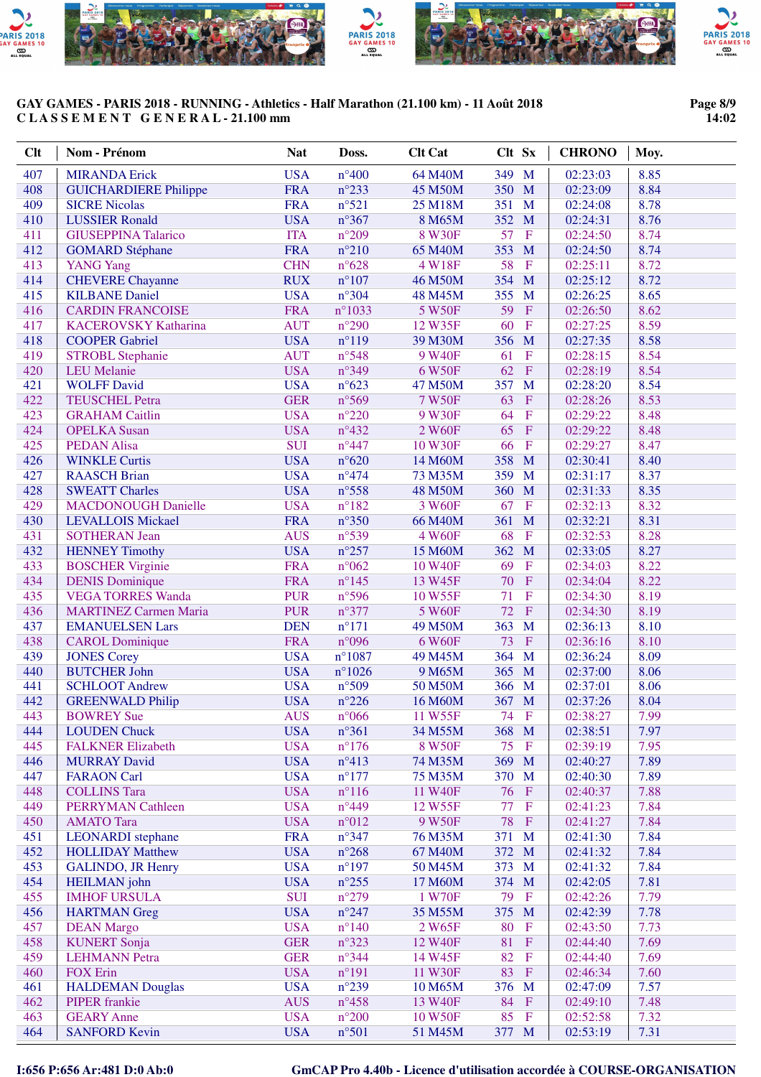

#### **Page 8/9 14:02**

| <b>Clt</b> | Nom - Prénom                                | <b>Nat</b>               | Doss.                            | <b>Clt Cat</b>     | Clt Sx                         | <b>CHRONO</b>        | Moy.         |
|------------|---------------------------------------------|--------------------------|----------------------------------|--------------------|--------------------------------|----------------------|--------------|
| 407        | <b>MIRANDA Erick</b>                        | <b>USA</b>               | $n^{\circ}400$                   | 64 M40M            | 349 M                          | 02:23:03             | 8.85         |
| 408        | <b>GUICHARDIERE Philippe</b>                | <b>FRA</b>               | $n^{\circ}233$                   | 45 M50M            | 350 M                          | 02:23:09             | 8.84         |
| 409        | <b>SICRE Nicolas</b>                        | <b>FRA</b>               | $n^{\circ}521$                   | 25 M18M            | 351<br>$\mathbf{M}$            | 02:24:08             | 8.78         |
| 410        | <b>LUSSIER Ronald</b>                       | <b>USA</b>               | $n^{\circ}367$                   | 8 M65M             | 352 M                          | 02:24:31             | 8.76         |
| 411        | <b>GIUSEPPINA Talarico</b>                  | <b>ITA</b>               | $n^{\circ}209$                   | 8 W30F             | 57<br>$\mathbf{F}$             | 02:24:50             | 8.74         |
| 412        | <b>GOMARD</b> Stéphane                      | <b>FRA</b>               | $n^{\circ}210$                   | 65 M40M            | 353 M                          | 02:24:50             | 8.74         |
| 413        | <b>YANG Yang</b>                            | <b>CHN</b>               | $n^{\circ}628$                   | 4 W18F             | 58<br>$\mathbf{F}$             | 02:25:11             | 8.72         |
| 414        | <b>CHEVERE</b> Chayanne                     | <b>RUX</b>               | $n^{\circ}107$                   | 46 M50M            | 354<br>M                       | 02:25:12             | 8.72         |
| 415        | <b>KILBANE Daniel</b>                       | <b>USA</b>               | $n^{\circ}304$                   | 48 M45M            | 355<br>M                       | 02:26:25             | 8.65         |
| 416        | <b>CARDIN FRANCOISE</b>                     | <b>FRA</b>               | $n^{\circ}1033$                  | 5 W50F             | 59<br>$\overline{F}$           | 02:26:50             | 8.62         |
| 417        | <b>KACEROVSKY Katharina</b>                 | <b>AUT</b>               | $n^{\circ}290$                   | 12 W35F            | 60<br>$\mathbf{F}$             | 02:27:25             | 8.59         |
| 418        | <b>COOPER Gabriel</b>                       | <b>USA</b>               | $n^{\circ}119$                   | 39 M30M            | 356<br>M                       | 02:27:35             | 8.58         |
| 419        | <b>STROBL Stephanie</b>                     | <b>AUT</b>               | $n^{\circ}548$                   | 9 W40F             | $\mathbf F$<br>61              | 02:28:15             | 8.54         |
| 420        | <b>LEU</b> Melanie                          | <b>USA</b>               | $n^{\circ}349$                   | 6 W50F             | 62<br>$\mathbf{F}$             | 02:28:19             | 8.54         |
| 421        | <b>WOLFF David</b>                          | <b>USA</b>               | $n^{\circ}623$                   | 47 M50M            | 357<br>M                       | 02:28:20             | 8.54         |
| 422        | <b>TEUSCHEL Petra</b>                       | <b>GER</b>               | $n^{\circ}569$                   | 7 W50F             | 63<br>$\mathbf{F}$             | 02:28:26             | 8.53         |
| 423        | <b>GRAHAM Caitlin</b>                       | <b>USA</b>               | $n^{\circ}220$                   | 9 W30F             | 64<br>$\mathbf F$              | 02:29:22             | 8.48         |
| 424        | <b>OPELKA</b> Susan<br><b>PEDAN Alisa</b>   | <b>USA</b>               | $n^{\circ}432$                   | 2 W60F             | 65<br>$\mathbf{F}$             | 02:29:22             | 8.48         |
| 425        |                                             | <b>SUI</b><br><b>USA</b> | $n^{\circ}447$<br>$n^{\circ}620$ | 10 W30F<br>14 M60M | 66<br>$\mathbf{F}$<br>358<br>M | 02:29:27             | 8.47<br>8.40 |
| 426<br>427 | <b>WINKLE Curtis</b><br><b>RAASCH Brian</b> | <b>USA</b>               | $n^{\circ}474$                   | 73 M35M            | 359<br>M                       | 02:30:41<br>02:31:17 | 8.37         |
| 428        | <b>SWEATT Charles</b>                       | <b>USA</b>               | $n^{\circ}$ 558                  | 48 M50M            | 360<br>M                       | 02:31:33             | 8.35         |
| 429        | <b>MACDONOUGH Danielle</b>                  | <b>USA</b>               | $n^{\circ}182$                   | 3 W60F             | $\mathbf F$<br>67              | 02:32:13             | 8.32         |
| 430        | <b>LEVALLOIS Mickael</b>                    | <b>FRA</b>               | $n^{\circ}350$                   | 66 M40M            | 361<br>M                       | 02:32:21             | 8.31         |
| 431        | <b>SOTHERAN Jean</b>                        | <b>AUS</b>               | $n^{\circ}539$                   | 4 W60F             | 68<br>$\overline{F}$           | 02:32:53             | 8.28         |
| 432        | <b>HENNEY Timothy</b>                       | <b>USA</b>               | $n^{\circ}257$                   | 15 M60M            | 362<br>M                       | 02:33:05             | 8.27         |
| 433        | <b>BOSCHER Virginie</b>                     | <b>FRA</b>               | $n^{\circ}062$                   | 10 W40F            | 69<br>$\mathbf F$              | 02:34:03             | 8.22         |
| 434        | <b>DENIS Dominique</b>                      | <b>FRA</b>               | $n^{\circ}$ 145                  | 13 W45F            | 70<br>$\mathbf F$              | 02:34:04             | 8.22         |
| 435        | <b>VEGA TORRES Wanda</b>                    | <b>PUR</b>               | n°596                            | 10 W55F            | $\mathbf F$<br>71              | 02:34:30             | 8.19         |
| 436        | <b>MARTINEZ Carmen Maria</b>                | <b>PUR</b>               | $n^{\circ}377$                   | 5 W60F             | 72<br>$\rm F$                  | 02:34:30             | 8.19         |
| 437        | <b>EMANUELSEN Lars</b>                      | <b>DEN</b>               | $n^{\circ}171$                   | 49 M50M            | 363<br>M                       | 02:36:13             | 8.10         |
| 438        | <b>CAROL Dominique</b>                      | <b>FRA</b>               | n°096                            | 6 W60F             | 73<br>$\,$ F                   | 02:36:16             | 8.10         |
| 439        | <b>JONES Corey</b>                          | <b>USA</b>               | $n^{\circ}1087$                  | 49 M45M            | 364<br>M                       | 02:36:24             | 8.09         |
| 440        | <b>BUTCHER John</b>                         | <b>USA</b>               | $n^{\circ}1026$                  | 9 M65M             | 365<br>M                       | 02:37:00             | 8.06         |
| 441        | <b>SCHLOOT Andrew</b>                       | <b>USA</b>               | $n^{\circ}509$                   | 50 M50M            | 366<br>M                       | 02:37:01             | 8.06         |
| 442        | <b>GREENWALD Philip</b>                     | <b>USA</b>               | $n^{\circ}226$                   | 16 M60M            | 367 M                          | 02:37:26             | 8.04         |
| 443        | <b>BOWREY Sue</b>                           | <b>AUS</b>               | $n^{\circ}066$                   | 11 W55F            | 74 F                           | 02:38:27             | 7.99         |
| 444        | <b>LOUDEN Chuck</b>                         | <b>USA</b>               | $n^{\circ}361$                   | 34 M55M            | 368 M                          | 02:38:51             | 7.97         |
| 445        | <b>FALKNER Elizabeth</b>                    | <b>USA</b>               | $n^{\circ}176$                   | 8 W50F             | 75<br>$\mathbf F$              | 02:39:19             | 7.95         |
| 446        | <b>MURRAY David</b>                         | <b>USA</b>               | $n^{\circ}413$                   | 74 M35M            | 369<br>M                       | 02:40:27             | 7.89         |
| 447        | <b>FARAON Carl</b>                          | <b>USA</b>               | $n^{\circ}177$                   | 75 M35M            | 370<br>M                       | 02:40:30             | 7.89         |
| 448        | <b>COLLINS Tara</b>                         | <b>USA</b>               | $n^{\circ}116$                   | 11 W40F            | 76<br>$\mathbf{F}$             | 02:40:37             | 7.88         |
| 449        | <b>PERRYMAN Cathleen</b>                    | <b>USA</b>               | $n^{\circ}449$                   | 12 W55F            | 77<br>$\mathbf F$              | 02:41:23             | 7.84         |
| 450        | <b>AMATO</b> Tara                           | <b>USA</b>               | $n^{\circ}012$                   | 9 W50F             | 78<br>$\mathbf{F}$             | 02:41:27             | 7.84         |
| 451        | <b>LEONARDI</b> stephane                    | <b>FRA</b>               | $n^{\circ}347$                   | 76 M35M            | 371<br>$\mathbf M$             | 02:41:30             | 7.84         |
| 452        | <b>HOLLIDAY Matthew</b>                     | <b>USA</b>               | $n^{\circ}268$                   | 67 M40M            | 372 M                          | 02:41:32             | 7.84         |
| 453<br>454 | <b>GALINDO, JR Henry</b>                    | <b>USA</b><br><b>USA</b> | $n^{\circ}197$<br>$n^{\circ}255$ | 50 M45M<br>17 M60M | 373<br>M<br>374<br>M           | 02:41:32<br>02:42:05 | 7.84<br>7.81 |
| 455        | <b>HEILMAN</b> john<br><b>IMHOF URSULA</b>  | <b>SUI</b>               | $n^{\circ}279$                   | 1 W70F             | 79<br>$\mathbf F$              | 02:42:26             | 7.79         |
| 456        | <b>HARTMAN</b> Greg                         | <b>USA</b>               | $n^{\circ}247$                   | 35 M55M            | 375<br>M                       | 02:42:39             | 7.78         |
| 457        | <b>DEAN Margo</b>                           | <b>USA</b>               | $n^{\circ}140$                   | 2 W65F             | 80<br>$\mathbf F$              | 02:43:50             | 7.73         |
| 458        | <b>KUNERT Sonja</b>                         | <b>GER</b>               | $n^{\circ}323$                   | 12 W40F            | 81<br>$\mathbf{F}$             | 02:44:40             | 7.69         |
| 459        | <b>LEHMANN</b> Petra                        | <b>GER</b>               | $n^{\circ}344$                   | 14 W45F            | 82<br>$\mathbf F$              | 02:44:40             | 7.69         |
| 460        | <b>FOX Erin</b>                             | <b>USA</b>               | $n^{\circ}191$                   | 11 W30F            | 83<br>$\mathbf{F}$             | 02:46:34             | 7.60         |
| 461        | <b>HALDEMAN Douglas</b>                     | <b>USA</b>               | $n^{\circ}239$                   | 10 M65M            | 376 M                          | 02:47:09             | 7.57         |
| 462        | <b>PIPER</b> frankie                        | <b>AUS</b>               | $n^{\circ}458$                   | 13 W40F            | 84<br>$\mathbf{F}$             | 02:49:10             | 7.48         |
| 463        | <b>GEARY</b> Anne                           | <b>USA</b>               | $n^{\circ}200$                   | 10 W50F            | 85<br>$\mathbf{F}$             | 02:52:58             | 7.32         |
| 464        | <b>SANFORD Kevin</b>                        | <b>USA</b>               | $n^{\circ}501$                   | 51 M45M            | 377 M                          | 02:53:19             | 7.31         |
|            |                                             |                          |                                  |                    |                                |                      |              |